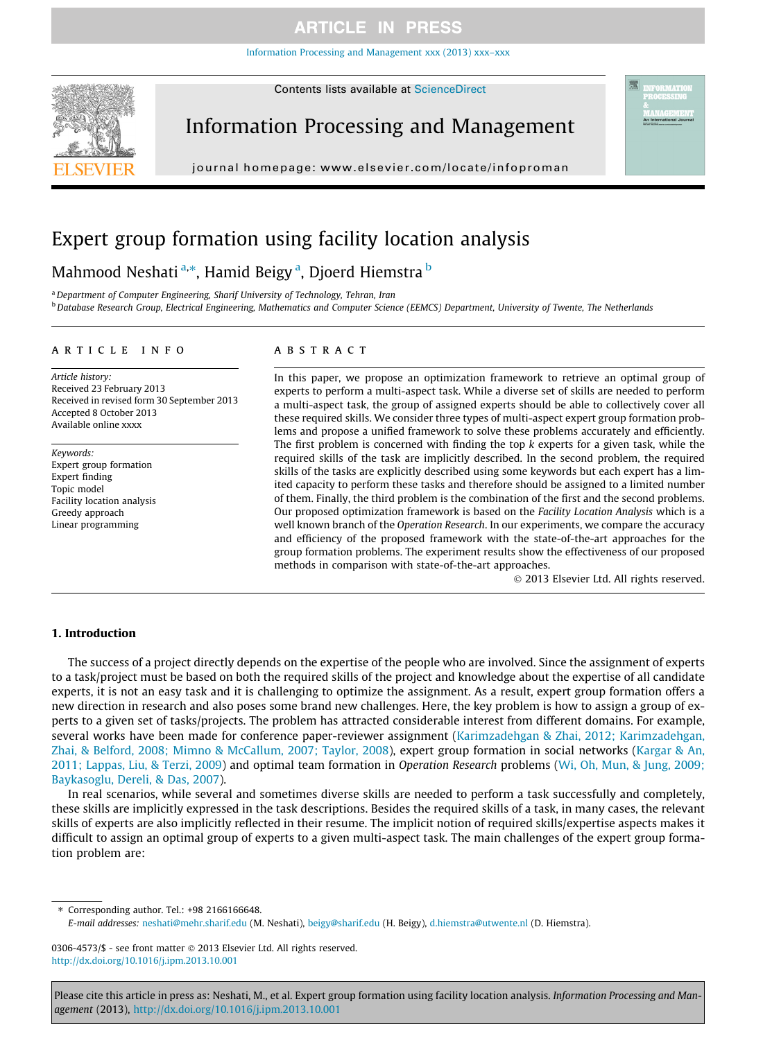[Information Processing and Management xxx \(2013\) xxx–xxx](http://dx.doi.org/10.1016/j.ipm.2013.10.001)

<span id="page-0-0"></span>

Contents lists available at [ScienceDirect](http://www.sciencedirect.com/science/journal/03064573)

# Information Processing and Management

journal homepage: [www.elsevier.com/locate/infoproman](http://www.elsevier.com/locate/infoproman)

# Expert group formation using facility location analysis

### Mahmood Neshati <sup>a,\*</sup>, Hamid Beigy <sup>a</sup>, Djoerd Hiemstra <sup>b</sup>

<sup>a</sup> Department of Computer Engineering, Sharif University of Technology, Tehran, Iran <sup>b</sup> Database Research Group, Electrical Engineering, Mathematics and Computer Science (EEMCS) Department, University of Twente, The Netherlands

### article info

Article history: Received 23 February 2013 Received in revised form 30 September 2013 Accepted 8 October 2013 Available online xxxx

Keywords: Expert group formation Expert finding Topic model Facility location analysis Greedy approach Linear programming

### **ABSTRACT**

In this paper, we propose an optimization framework to retrieve an optimal group of experts to perform a multi-aspect task. While a diverse set of skills are needed to perform a multi-aspect task, the group of assigned experts should be able to collectively cover all these required skills. We consider three types of multi-aspect expert group formation problems and propose a unified framework to solve these problems accurately and efficiently. The first problem is concerned with finding the top  $k$  experts for a given task, while the required skills of the task are implicitly described. In the second problem, the required skills of the tasks are explicitly described using some keywords but each expert has a limited capacity to perform these tasks and therefore should be assigned to a limited number of them. Finally, the third problem is the combination of the first and the second problems. Our proposed optimization framework is based on the Facility Location Analysis which is a well known branch of the Operation Research. In our experiments, we compare the accuracy and efficiency of the proposed framework with the state-of-the-art approaches for the group formation problems. The experiment results show the effectiveness of our proposed methods in comparison with state-of-the-art approaches.

- 2013 Elsevier Ltd. All rights reserved.

### 1. Introduction

The success of a project directly depends on the expertise of the people who are involved. Since the assignment of experts to a task/project must be based on both the required skills of the project and knowledge about the expertise of all candidate experts, it is not an easy task and it is challenging to optimize the assignment. As a result, expert group formation offers a new direction in research and also poses some brand new challenges. Here, the key problem is how to assign a group of experts to a given set of tasks/projects. The problem has attracted considerable interest from different domains. For example, several works have been made for conference paper-reviewer assignment [\(Karimzadehgan & Zhai, 2012; Karimzadehgan,](#page-21-0) [Zhai, & Belford, 2008; Mimno & McCallum, 2007; Taylor, 2008\)](#page-21-0), expert group formation in social networks [\(Kargar & An,](#page-21-0) [2011; Lappas, Liu, & Terzi, 2009](#page-21-0)) and optimal team formation in Operation Research problems ([Wi, Oh, Mun, & Jung, 2009;](#page-22-0) [Baykasoglu, Dereli, & Das, 2007\)](#page-22-0).

In real scenarios, while several and sometimes diverse skills are needed to perform a task successfully and completely, these skills are implicitly expressed in the task descriptions. Besides the required skills of a task, in many cases, the relevant skills of experts are also implicitly reflected in their resume. The implicit notion of required skills/expertise aspects makes it difficult to assign an optimal group of experts to a given multi-aspect task. The main challenges of the expert group formation problem are:

⇑ Corresponding author. Tel.: +98 2166166648.

0306-4573/\$ - see front matter © 2013 Elsevier Ltd. All rights reserved. <http://dx.doi.org/10.1016/j.ipm.2013.10.001>

E-mail addresses: [neshati@mehr.sharif.edu](mailto:neshati@mehr.sharif.edu) (M. Neshati), [beigy@sharif.edu](mailto:beigy@sharif.edu) (H. Beigy), [d.hiemstra@utwente.nl](mailto:d.hiemstra@utwente.nl) (D. Hiemstra).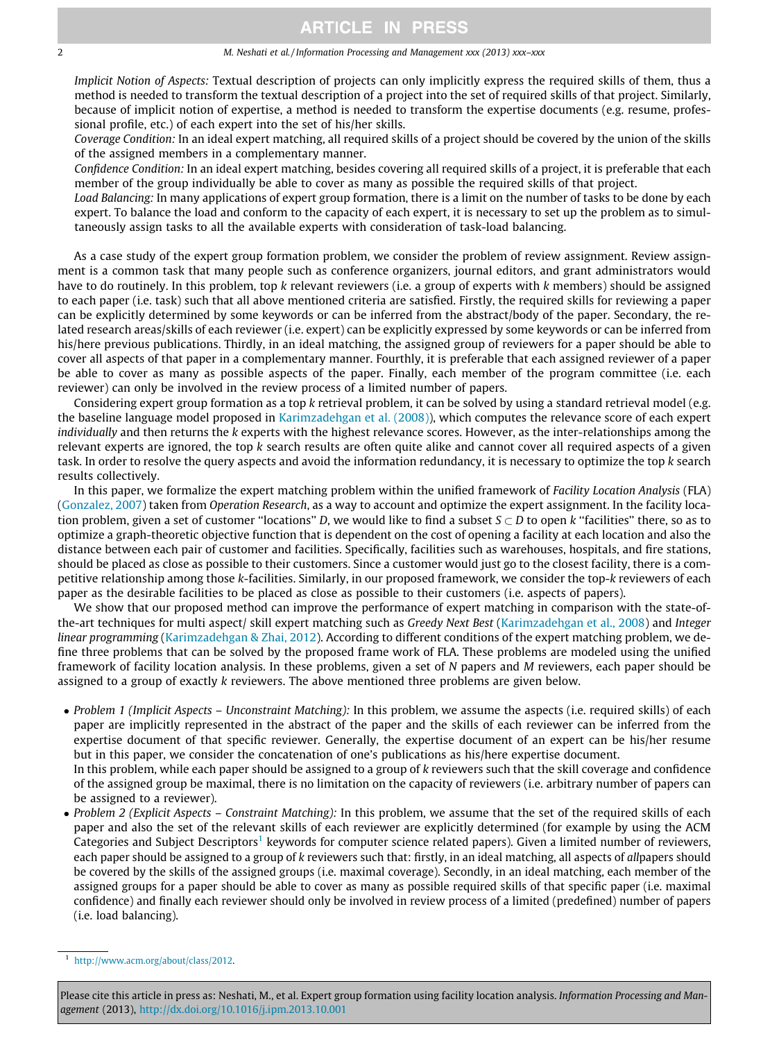#### 2 M. Neshati et al. / Information Processing and Management xxx (2013) xxx–xxx

Implicit Notion of Aspects: Textual description of projects can only implicitly express the required skills of them, thus a method is needed to transform the textual description of a project into the set of required skills of that project. Similarly, because of implicit notion of expertise, a method is needed to transform the expertise documents (e.g. resume, professional profile, etc.) of each expert into the set of his/her skills.

Coverage Condition: In an ideal expert matching, all required skills of a project should be covered by the union of the skills of the assigned members in a complementary manner.

Confidence Condition: In an ideal expert matching, besides covering all required skills of a project, it is preferable that each member of the group individually be able to cover as many as possible the required skills of that project.

Load Balancing: In many applications of expert group formation, there is a limit on the number of tasks to be done by each expert. To balance the load and conform to the capacity of each expert, it is necessary to set up the problem as to simultaneously assign tasks to all the available experts with consideration of task-load balancing.

As a case study of the expert group formation problem, we consider the problem of review assignment. Review assignment is a common task that many people such as conference organizers, journal editors, and grant administrators would have to do routinely. In this problem, top  $k$  relevant reviewers (i.e. a group of experts with  $k$  members) should be assigned to each paper (i.e. task) such that all above mentioned criteria are satisfied. Firstly, the required skills for reviewing a paper can be explicitly determined by some keywords or can be inferred from the abstract/body of the paper. Secondary, the related research areas/skills of each reviewer (i.e. expert) can be explicitly expressed by some keywords or can be inferred from his/here previous publications. Thirdly, in an ideal matching, the assigned group of reviewers for a paper should be able to cover all aspects of that paper in a complementary manner. Fourthly, it is preferable that each assigned reviewer of a paper be able to cover as many as possible aspects of the paper. Finally, each member of the program committee (i.e. each reviewer) can only be involved in the review process of a limited number of papers.

Considering expert group formation as a top k retrieval problem, it can be solved by using a standard retrieval model (e.g. the baseline language model proposed in [Karimzadehgan et al. \(2008\)](#page-21-0)), which computes the relevance score of each expert individually and then returns the k experts with the highest relevance scores. However, as the inter-relationships among the relevant experts are ignored, the top  $k$  search results are often quite alike and cannot cover all required aspects of a given task. In order to resolve the query aspects and avoid the information redundancy, it is necessary to optimize the top k search results collectively.

In this paper, we formalize the expert matching problem within the unified framework of Facility Location Analysis (FLA) [\(Gonzalez, 2007](#page-21-0)) taken from Operation Research, as a way to account and optimize the expert assignment. In the facility location problem, given a set of customer "locations" D, we would like to find a subset S  $\subset$  D to open k "facilities" there, so as to optimize a graph-theoretic objective function that is dependent on the cost of opening a facility at each location and also the distance between each pair of customer and facilities. Specifically, facilities such as warehouses, hospitals, and fire stations, should be placed as close as possible to their customers. Since a customer would just go to the closest facility, there is a competitive relationship among those k-facilities. Similarly, in our proposed framework, we consider the top-k reviewers of each paper as the desirable facilities to be placed as close as possible to their customers (i.e. aspects of papers).

We show that our proposed method can improve the performance of expert matching in comparison with the state-ofthe-art techniques for multi aspect/ skill expert matching such as Greedy Next Best ([Karimzadehgan et al., 2008](#page-21-0)) and Integer linear programming [\(Karimzadehgan & Zhai, 2012\)](#page-21-0). According to different conditions of the expert matching problem, we define three problems that can be solved by the proposed frame work of FLA. These problems are modeled using the unified framework of facility location analysis. In these problems, given a set of N papers and M reviewers, each paper should be assigned to a group of exactly k reviewers. The above mentioned three problems are given below.

• Problem 1 (Implicit Aspects – Unconstraint Matching): In this problem, we assume the aspects (i.e. required skills) of each paper are implicitly represented in the abstract of the paper and the skills of each reviewer can be inferred from the expertise document of that specific reviewer. Generally, the expertise document of an expert can be his/her resume but in this paper, we consider the concatenation of one's publications as his/here expertise document.

In this problem, while each paper should be assigned to a group of k reviewers such that the skill coverage and confidence of the assigned group be maximal, there is no limitation on the capacity of reviewers (i.e. arbitrary number of papers can be assigned to a reviewer).

 Problem 2 (Explicit Aspects – Constraint Matching): In this problem, we assume that the set of the required skills of each paper and also the set of the relevant skills of each reviewer are explicitly determined (for example by using the ACM Categories and Subject Descriptors<sup>1</sup> keywords for computer science related papers). Given a limited number of reviewers, each paper should be assigned to a group of k reviewers such that: firstly, in an ideal matching, all aspects of allpapers should be covered by the skills of the assigned groups (i.e. maximal coverage). Secondly, in an ideal matching, each member of the assigned groups for a paper should be able to cover as many as possible required skills of that specific paper (i.e. maximal confidence) and finally each reviewer should only be involved in review process of a limited (predefined) number of papers (i.e. load balancing).

<sup>1</sup> <http://www.acm.org/about/class/2012>.

Please cite this article in press as: Neshati, M., et al. Expert group formation using facility location analysis. Information Processing and Management (2013), <http://dx.doi.org/10.1016/j.ipm.2013.10.001>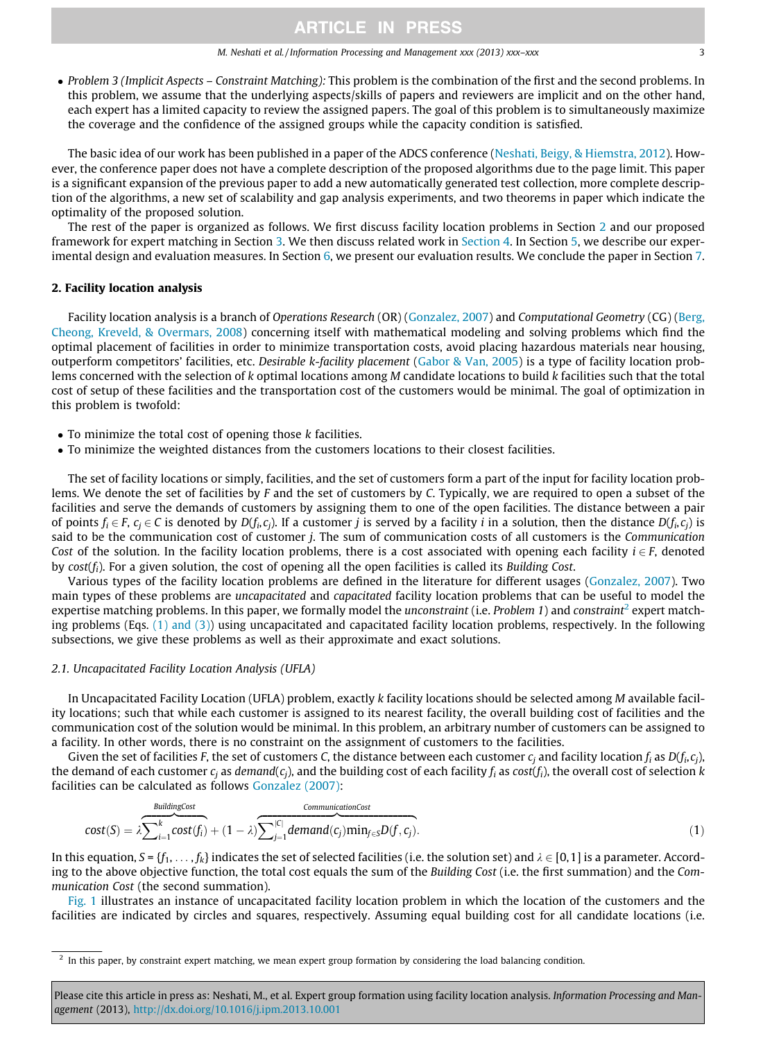<span id="page-2-0"></span> Problem 3 (Implicit Aspects – Constraint Matching): This problem is the combination of the first and the second problems. In this problem, we assume that the underlying aspects/skills of papers and reviewers are implicit and on the other hand, each expert has a limited capacity to review the assigned papers. The goal of this problem is to simultaneously maximize the coverage and the confidence of the assigned groups while the capacity condition is satisfied.

The basic idea of our work has been published in a paper of the ADCS conference [\(Neshati, Beigy, & Hiemstra, 2012](#page-21-0)). However, the conference paper does not have a complete description of the proposed algorithms due to the page limit. This paper is a significant expansion of the previous paper to add a new automatically generated test collection, more complete description of the algorithms, a new set of scalability and gap analysis experiments, and two theorems in paper which indicate the optimality of the proposed solution.

The rest of the paper is organized as follows. We first discuss facility location problems in Section 2 and our proposed framework for expert matching in Section [3.](#page-4-0) We then discuss related work in [Section 4.](#page-11-0) In Section [5](#page-12-0), we describe our experimental design and evaluation measures. In Section [6,](#page-13-0) we present our evaluation results. We conclude the paper in Section [7](#page-20-0).

### 2. Facility location analysis

Facility location analysis is a branch of Operations Research (OR) ([Gonzalez, 2007\)](#page-21-0) and Computational Geometry (CG) [\(Berg,](#page-21-0) [Cheong, Kreveld, & Overmars, 2008](#page-21-0)) concerning itself with mathematical modeling and solving problems which find the optimal placement of facilities in order to minimize transportation costs, avoid placing hazardous materials near housing, outperform competitors' facilities, etc. Desirable k-facility placement [\(Gabor & Van, 2005](#page-21-0)) is a type of facility location problems concerned with the selection of k optimal locations among M candidate locations to build k facilities such that the total cost of setup of these facilities and the transportation cost of the customers would be minimal. The goal of optimization in this problem is twofold:

- To minimize the total cost of opening those k facilities.
- To minimize the weighted distances from the customers locations to their closest facilities.

The set of facility locations or simply, facilities, and the set of customers form a part of the input for facility location problems. We denote the set of facilities by F and the set of customers by C. Typically, we are required to open a subset of the facilities and serve the demands of customers by assigning them to one of the open facilities. The distance between a pair of points  $f_i \in F$ ,  $c_i \in C$  is denoted by  $D(f_i, c_i)$ . If a customer *j* is served by a facility *i* in a solution, then the distance  $D(f_i, c_i)$  is said to be the communication cost of customer *j*. The sum of communication costs of all customers is the Communication Cost of the solution. In the facility location problems, there is a cost associated with opening each facility  $i \in F$ , denoted by  $cost(f_i)$ . For a given solution, the cost of opening all the open facilities is called its Building Cost.

Various types of the facility location problems are defined in the literature for different usages ([Gonzalez, 2007\)](#page-21-0). Two main types of these problems are uncapacitated and capacitated facility location problems that can be useful to model the expertise matching problems. In this paper, we formally model the *unconstraint* (i.e. *Problem 1*) and *constraint*<sup>2</sup> expert matching problems (Eqs. (1) and (3)) using uncapacitated and capacitated facility location problems, respectively. In the following subsections, we give these problems as well as their approximate and exact solutions.

### 2.1. Uncapacitated Facility Location Analysis (UFLA)

In Uncapacitated Facility Location (UFLA) problem, exactly k facility locations should be selected among M available facility locations; such that while each customer is assigned to its nearest facility, the overall building cost of facilities and the communication cost of the solution would be minimal. In this problem, an arbitrary number of customers can be assigned to a facility. In other words, there is no constraint on the assignment of customers to the facilities.

Given the set of facilities F, the set of customers C, the distance between each customer  $c_i$  and facility location  $f_i$  as  $D(f_i, c_j)$ , the demand of each customer  $c_i$  as demand( $c_i$ ), and the building cost of each facility  $f_i$  as cost( $f_i$ ), the overall cost of selection k facilities can be calculated as follows [Gonzalez \(2007\)](#page-21-0):

cost(S) = 
$$
\lambda \sum_{i=1}^{BuildingCost} cost(f_i) + (1 - \lambda) \sum_{j=1}^{|C|} demand(c_j) min_{f \in S} D(f, c_j).
$$
 (1)

In this equation,  $S = \{f_1, \ldots, f_k\}$  indicates the set of selected facilities (i.e. the solution set) and  $\lambda \in [0,1]$  is a parameter. According to the above objective function, the total cost equals the sum of the Building Cost (i.e. the first summation) and the Communication Cost (the second summation).

[Fig. 1](#page-3-0) illustrates an instance of uncapacitated facility location problem in which the location of the customers and the facilities are indicated by circles and squares, respectively. Assuming equal building cost for all candidate locations (i.e.

 $<sup>2</sup>$  In this paper, by constraint expert matching, we mean expert group formation by considering the load balancing condition.</sup>

Please cite this article in press as: Neshati, M., et al. Expert group formation using facility location analysis. Information Processing and Management (2013), <http://dx.doi.org/10.1016/j.ipm.2013.10.001>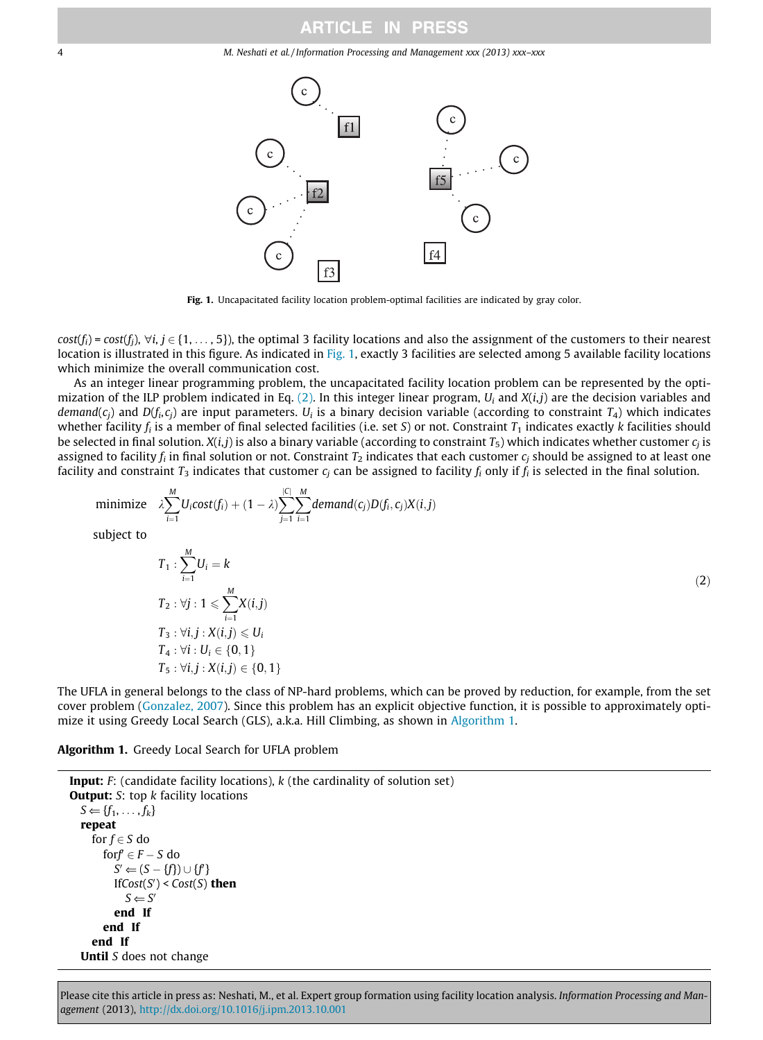<span id="page-3-0"></span>4 M. Neshati et al. / Information Processing and Management xxx (2013) xxx–xxx



Fig. 1. Uncapacitated facility location problem-optimal facilities are indicated by gray color.

 $cost(f_i) = cost(f_i)$ ,  $\forall i, j \in \{1, ..., 5\}$ , the optimal 3 facility locations and also the assignment of the customers to their nearest location is illustrated in this figure. As indicated in Fig. 1, exactly 3 facilities are selected among 5 available facility locations which minimize the overall communication cost.

As an integer linear programming problem, the uncapacitated facility location problem can be represented by the optimization of the ILP problem indicated in Eq. (2). In this integer linear program,  $U_i$  and  $X(i,j)$  are the decision variables and demand(c<sub>i</sub>) and  $D(f_i, c_i)$  are input parameters.  $U_i$  is a binary decision variable (according to constraint  $T_4$ ) which indicates whether facility  $f_i$  is a member of final selected facilities (i.e. set S) or not. Constraint  $T_1$  indicates exactly k facilities should be selected in final solution.  $X(i,j)$  is also a binary variable (according to constraint  $T_5$ ) which indicates whether customer  $c_i$  is assigned to facility  $f_i$  in final solution or not. Constraint  $T_2$  indicates that each customer  $c_i$  should be assigned to at least one facility and constraint  $T_3$  indicates that customer  $c_i$  can be assigned to facility  $f_i$  only if  $f_i$  is selected in the final solution.

minimize 
$$
\lambda \sum_{i=1}^{M} U_i \text{cost}(f_i) + (1 - \lambda) \sum_{j=1}^{|C|} \sum_{i=1}^{M} \text{demand}(c_j) D(f_i, c_j) X(i, j)
$$
  
\nsubject to  
\n
$$
T_1 : \sum_{i=1}^{M} U_i = k
$$
\n
$$
T_2 : \forall j : 1 \leqslant \sum_{i=1}^{M} X(i, j)
$$
\n
$$
T_3 : \forall i, j : X(i, j) \leqslant U_i
$$
\n
$$
T_4 : \forall i : U_i \in \{0, 1\}
$$
\n
$$
T_5 : \forall i, j : X(i, j) \in \{0, 1\}
$$

The UFLA in general belongs to the class of NP-hard problems, which can be proved by reduction, for example, from the set cover problem ([Gonzalez, 2007\)](#page-21-0). Since this problem has an explicit objective function, it is possible to approximately optimize it using Greedy Local Search (GLS), a.k.a. Hill Climbing, as shown in Algorithm 1.

**Algorithm 1.** Greedy Local Search for UFLA problem

```
Input: F: (candidate facility locations), k (the cardinality of solution set)
Output: S: top k facility locations
  S \leftarrow \{f_1, \ldots, f_k\}repeat
     for f \in S do
        forf \in F - S do
          S' \leftarrow (S - \{f\}) \cup \{f\}IfCost(S') < Cost(S) then
             S \leftarrow S'end If
       end If
     end If
  Until S does not change
```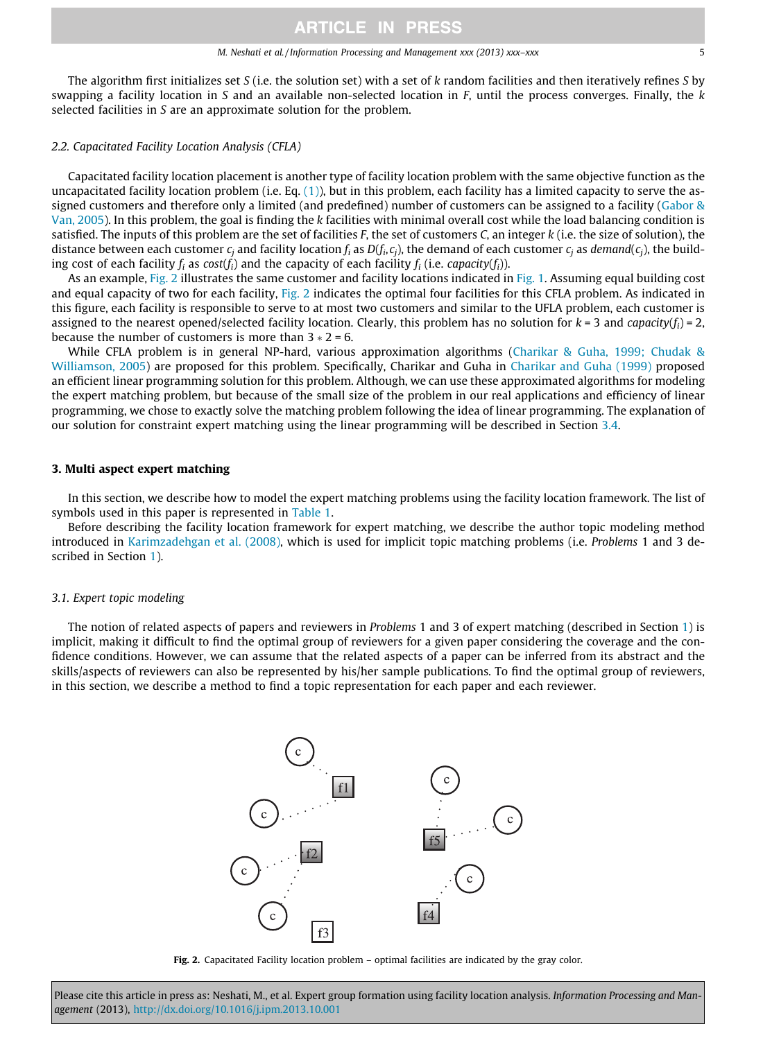#### M. Neshati et al. / Information Processing and Management xxx (2013) xxx–xxx 5

<span id="page-4-0"></span>The algorithm first initializes set  $S$  (i.e. the solution set) with a set of  $k$  random facilities and then iteratively refines  $S$  by swapping a facility location in S and an available non-selected location in F, until the process converges. Finally, the  $k$ selected facilities in S are an approximate solution for the problem.

### 2.2. Capacitated Facility Location Analysis (CFLA)

Capacitated facility location placement is another type of facility location problem with the same objective function as the uncapacitated facility location problem (i.e. Eq.  $(1)$ ), but in this problem, each facility has a limited capacity to serve the as-signed customers and therefore only a limited (and predefined) number of customers can be assigned to a facility [\(Gabor &](#page-21-0) [Van, 2005](#page-21-0)). In this problem, the goal is finding the k facilities with minimal overall cost while the load balancing condition is satisfied. The inputs of this problem are the set of facilities  $F$ , the set of customers  $C$ , an integer  $k$  (i.e. the size of solution), the distance between each customer  $c_i$  and facility location  $f_i$  as  $D(f_i, c_i)$ , the demand of each customer  $c_i$  as demand( $c_i$ ), the building cost of each facility  $f_i$  as cost( $f_i$ ) and the capacity of each facility  $f_i$  (i.e. capacity( $f_i$ )).

As an example, Fig. 2 illustrates the same customer and facility locations indicated in [Fig. 1.](#page-3-0) Assuming equal building cost and equal capacity of two for each facility, Fig. 2 indicates the optimal four facilities for this CFLA problem. As indicated in this figure, each facility is responsible to serve to at most two customers and similar to the UFLA problem, each customer is assigned to the nearest opened/selected facility location. Clearly, this problem has no solution for  $k = 3$  and *capacity*( $f_i$ ) = 2. because the number of customers is more than  $3 * 2 = 6$ .

While CFLA problem is in general NP-hard, various approximation algorithms [\(Charikar & Guha, 1999; Chudak &](#page-21-0) [Williamson, 2005](#page-21-0)) are proposed for this problem. Specifically, Charikar and Guha in [Charikar and Guha \(1999\)](#page-21-0) proposed an efficient linear programming solution for this problem. Although, we can use these approximated algorithms for modeling the expert matching problem, but because of the small size of the problem in our real applications and efficiency of linear programming, we chose to exactly solve the matching problem following the idea of linear programming. The explanation of our solution for constraint expert matching using the linear programming will be described in Section [3.4](#page-7-0).

### 3. Multi aspect expert matching

In this section, we describe how to model the expert matching problems using the facility location framework. The list of symbols used in this paper is represented in [Table 1](#page-5-0).

Before describing the facility location framework for expert matching, we describe the author topic modeling method introduced in [Karimzadehgan et al. \(2008\)](#page-21-0), which is used for implicit topic matching problems (i.e. Problems 1 and 3 described in Section [1\)](#page-0-0).

### 3.1. Expert topic modeling

The notion of related aspects of papers and reviewers in Problems 1 and 3 of expert matching (described in Section [1\)](#page-0-0) is implicit, making it difficult to find the optimal group of reviewers for a given paper considering the coverage and the confidence conditions. However, we can assume that the related aspects of a paper can be inferred from its abstract and the skills/aspects of reviewers can also be represented by his/her sample publications. To find the optimal group of reviewers, in this section, we describe a method to find a topic representation for each paper and each reviewer.



Fig. 2. Capacitated Facility location problem – optimal facilities are indicated by the gray color.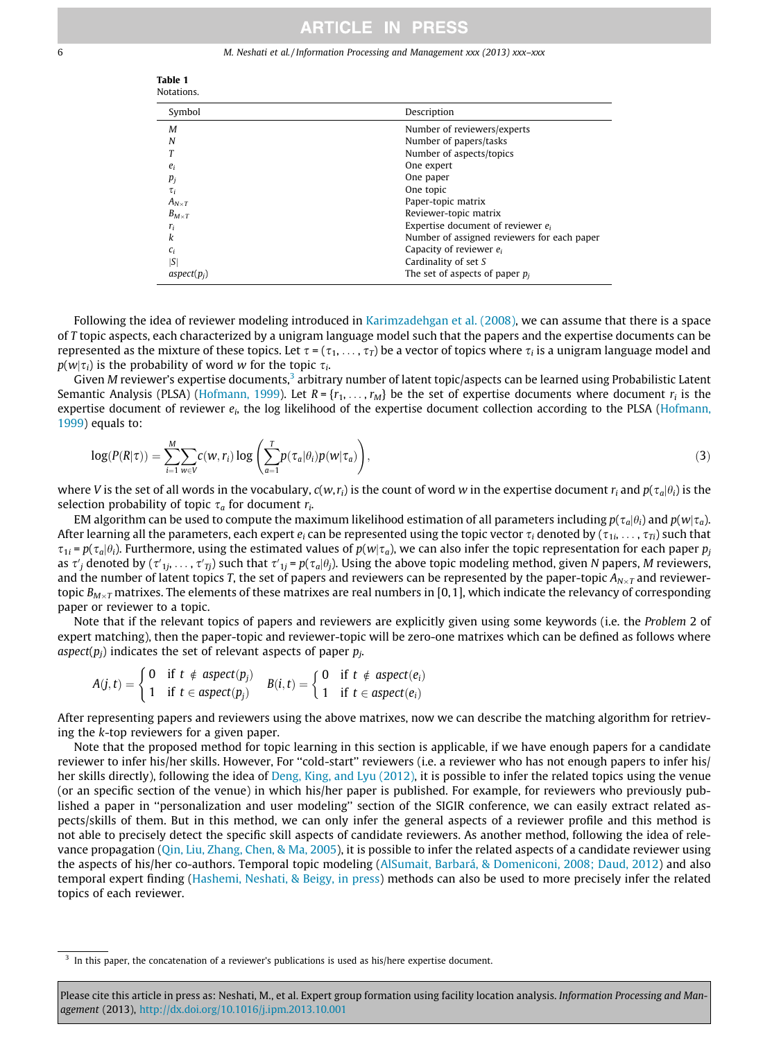#### <span id="page-5-0"></span>6 M. Neshati et al. / Information Processing and Management xxx (2013) xxx–xxx

| Notations.       |                                             |
|------------------|---------------------------------------------|
| Symbol           | Description                                 |
| M                | Number of reviewers/experts                 |
| N                | Number of papers/tasks                      |
|                  | Number of aspects/topics                    |
| $e_i$            | One expert                                  |
| $p_j$            | One paper                                   |
| $\tau_i$         | One topic                                   |
| $A_{N\times T}$  | Paper-topic matrix                          |
| $B_{M \times T}$ | Reviewer-topic matrix                       |
| $r_i$            | Expertise document of reviewer $e_i$        |
| k                | Number of assigned reviewers for each paper |
| $C_i$            | Capacity of reviewer $e_i$                  |
| S                | Cardinality of set S                        |
| $aspect(p_i)$    | The set of aspects of paper $p_i$           |

Following the idea of reviewer modeling introduced in [Karimzadehgan et al. \(2008\),](#page-21-0) we can assume that there is a space of T topic aspects, each characterized by a unigram language model such that the papers and the expertise documents can be represented as the mixture of these topics. Let  $\tau = (\tau_1, \ldots, \tau_T)$  be a vector of topics where  $\tau_i$  is a unigram language model and  $p(w|\tau_i)$  is the probability of word w for the topic  $\tau_i$ .

Given M reviewer's expertise documents,<sup>3</sup> arbitrary number of latent topic/aspects can be learned using Probabilistic Latent Semantic Analysis (PLSA) ([Hofmann, 1999\)](#page-21-0). Let  $R = \{r_1, \ldots, r_M\}$  be the set of expertise documents where document  $r_i$  is the expertise document of reviewer  $e_i$ , the log likelihood of the expertise document collection according to the PLSA [\(Hofmann,](#page-21-0) [1999\)](#page-21-0) equals to:

$$
\log(P(R|\tau)) = \sum_{i=1}^{M} \sum_{w \in V} c(w, r_i) \log \left( \sum_{a=1}^{T} p(\tau_a|\theta_i) p(w|\tau_a) \right), \tag{3}
$$

where V is the set of all words in the vocabulary,  $c(w,r_i)$  is the count of word w in the expertise document  $r_i$  and  $p(\tau_a|\theta_i)$  is the selection probability of topic  $\tau_a$  for document  $r_i$ .

EM algorithm can be used to compute the maximum likelihood estimation of all parameters including  $p(\tau_a|\theta_i)$  and  $p(w|\tau_a)$ . After learning all the parameters, each expert  $e_i$  can be represented using the topic vector  $\tau_i$  denoted by ( $\tau_{1i}, \ldots, \tau_{Ti}$ ) such that  $\tau_{1i} = p(\tau_a|\theta_i)$ . Furthermore, using the estimated values of  $p(w|\tau_a)$ , we can also infer the topic representation for each paper  $p_i$ as  $\tau'_j$  denoted by  $(\tau'_{1j},\ldots,\tau'_{Tj})$  such that  $\tau'_{1j} = p(\tau_a|\theta_j)$ . Using the above topic modeling method, given N papers, M reviewers, and the number of latent topics T, the set of papers and reviewers can be represented by the paper-topic  $A_{N\times T}$  and reviewertopic  $B_{M\times T}$  matrixes. The elements of these matrixes are real numbers in [0,1], which indicate the relevancy of corresponding paper or reviewer to a topic.

Note that if the relevant topics of papers and reviewers are explicitly given using some keywords (i.e. the Problem 2 of expert matching), then the paper-topic and reviewer-topic will be zero-one matrixes which can be defined as follows where aspect( $p_i$ ) indicates the set of relevant aspects of paper  $p_i$ .

$$
A(j,t) = \begin{cases} 0 & \text{if } t \notin aspect(p_j) \\ 1 & \text{if } t \in aspect(p_j) \end{cases} \quad B(i,t) = \begin{cases} 0 & \text{if } t \notin aspect(e_i) \\ 1 & \text{if } t \in aspect(e_i) \end{cases}
$$

After representing papers and reviewers using the above matrixes, now we can describe the matching algorithm for retrieving the k-top reviewers for a given paper.

Note that the proposed method for topic learning in this section is applicable, if we have enough papers for a candidate reviewer to infer his/her skills. However, For ''cold-start'' reviewers (i.e. a reviewer who has not enough papers to infer his/ her skills directly), following the idea of [Deng, King, and Lyu \(2012\),](#page-21-0) it is possible to infer the related topics using the venue (or an specific section of the venue) in which his/her paper is published. For example, for reviewers who previously published a paper in ''personalization and user modeling'' section of the SIGIR conference, we can easily extract related aspects/skills of them. But in this method, we can only infer the general aspects of a reviewer profile and this method is not able to precisely detect the specific skill aspects of candidate reviewers. As another method, following the idea of relevance propagation ([Qin, Liu, Zhang, Chen, & Ma, 2005](#page-21-0)), it is possible to infer the related aspects of a candidate reviewer using the aspects of his/her co-authors. Temporal topic modeling ([AlSumait, Barbará, & Domeniconi, 2008; Daud, 2012](#page-21-0)) and also temporal expert finding [\(Hashemi, Neshati, & Beigy, in press](#page-21-0)) methods can also be used to more precisely infer the related topics of each reviewer.

Table 1

 $3\,$  In this paper, the concatenation of a reviewer's publications is used as his/here expertise document.

Please cite this article in press as: Neshati, M., et al. Expert group formation using facility location analysis. Information Processing and Management (2013), <http://dx.doi.org/10.1016/j.ipm.2013.10.001>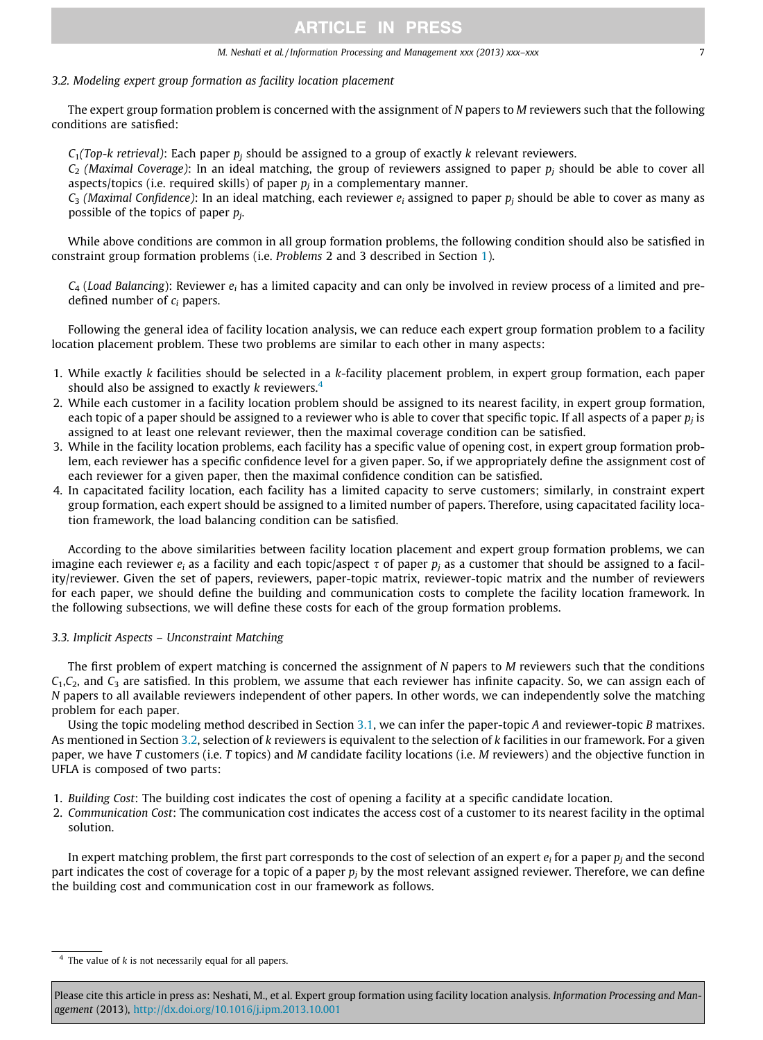### <span id="page-6-0"></span>3.2. Modeling expert group formation as facility location placement

The expert group formation problem is concerned with the assignment of N papers to M reviewers such that the following conditions are satisfied:

 $C_1(Top-k$  retrieval): Each paper  $p_i$  should be assigned to a group of exactly k relevant reviewers.

 $C_2$  (Maximal Coverage): In an ideal matching, the group of reviewers assigned to paper  $p_i$  should be able to cover all aspects/topics (i.e. required skills) of paper  $p_i$  in a complementary manner.

 $C_3$  (Maximal Confidence): In an ideal matching, each reviewer  $e_i$  assigned to paper  $p_i$  should be able to cover as many as possible of the topics of paper  $p_i$ .

While above conditions are common in all group formation problems, the following condition should also be satisfied in constraint group formation problems (i.e. Problems 2 and 3 described in Section [1](#page-0-0)).

 $C_4$  (Load Balancing): Reviewer  $e_i$  has a limited capacity and can only be involved in review process of a limited and predefined number of  $c_i$  papers.

Following the general idea of facility location analysis, we can reduce each expert group formation problem to a facility location placement problem. These two problems are similar to each other in many aspects:

- 1. While exactly k facilities should be selected in a k-facility placement problem, in expert group formation, each paper should also be assigned to exactly  $k$  reviewers.<sup>4</sup>
- 2. While each customer in a facility location problem should be assigned to its nearest facility, in expert group formation, each topic of a paper should be assigned to a reviewer who is able to cover that specific topic. If all aspects of a paper  $p_i$  is assigned to at least one relevant reviewer, then the maximal coverage condition can be satisfied.
- 3. While in the facility location problems, each facility has a specific value of opening cost, in expert group formation problem, each reviewer has a specific confidence level for a given paper. So, if we appropriately define the assignment cost of each reviewer for a given paper, then the maximal confidence condition can be satisfied.
- 4. In capacitated facility location, each facility has a limited capacity to serve customers; similarly, in constraint expert group formation, each expert should be assigned to a limited number of papers. Therefore, using capacitated facility location framework, the load balancing condition can be satisfied.

According to the above similarities between facility location placement and expert group formation problems, we can imagine each reviewer  $e_i$  as a facility and each topic/aspect  $\tau$  of paper  $p_i$  as a customer that should be assigned to a facility/reviewer. Given the set of papers, reviewers, paper-topic matrix, reviewer-topic matrix and the number of reviewers for each paper, we should define the building and communication costs to complete the facility location framework. In the following subsections, we will define these costs for each of the group formation problems.

### 3.3. Implicit Aspects – Unconstraint Matching

The first problem of expert matching is concerned the assignment of N papers to M reviewers such that the conditions  $C_1, C_2$ , and  $C_3$  are satisfied. In this problem, we assume that each reviewer has infinite capacity. So, we can assign each of N papers to all available reviewers independent of other papers. In other words, we can independently solve the matching problem for each paper.

Using the topic modeling method described in Section [3.1,](#page-4-0) we can infer the paper-topic A and reviewer-topic B matrixes. As mentioned in Section 3.2, selection of k reviewers is equivalent to the selection of k facilities in our framework. For a given paper, we have T customers (i.e. T topics) and M candidate facility locations (i.e. M reviewers) and the objective function in UFLA is composed of two parts:

- 1. Building Cost: The building cost indicates the cost of opening a facility at a specific candidate location.
- 2. Communication Cost: The communication cost indicates the access cost of a customer to its nearest facility in the optimal solution.

In expert matching problem, the first part corresponds to the cost of selection of an expert  $e_i$  for a paper  $p_i$  and the second part indicates the cost of coverage for a topic of a paper  $p_j$  by the most relevant assigned reviewer. Therefore, we can define the building cost and communication cost in our framework as follows.

 $4$  The value of k is not necessarily equal for all papers.

Please cite this article in press as: Neshati, M., et al. Expert group formation using facility location analysis. Information Processing and Management (2013), <http://dx.doi.org/10.1016/j.ipm.2013.10.001>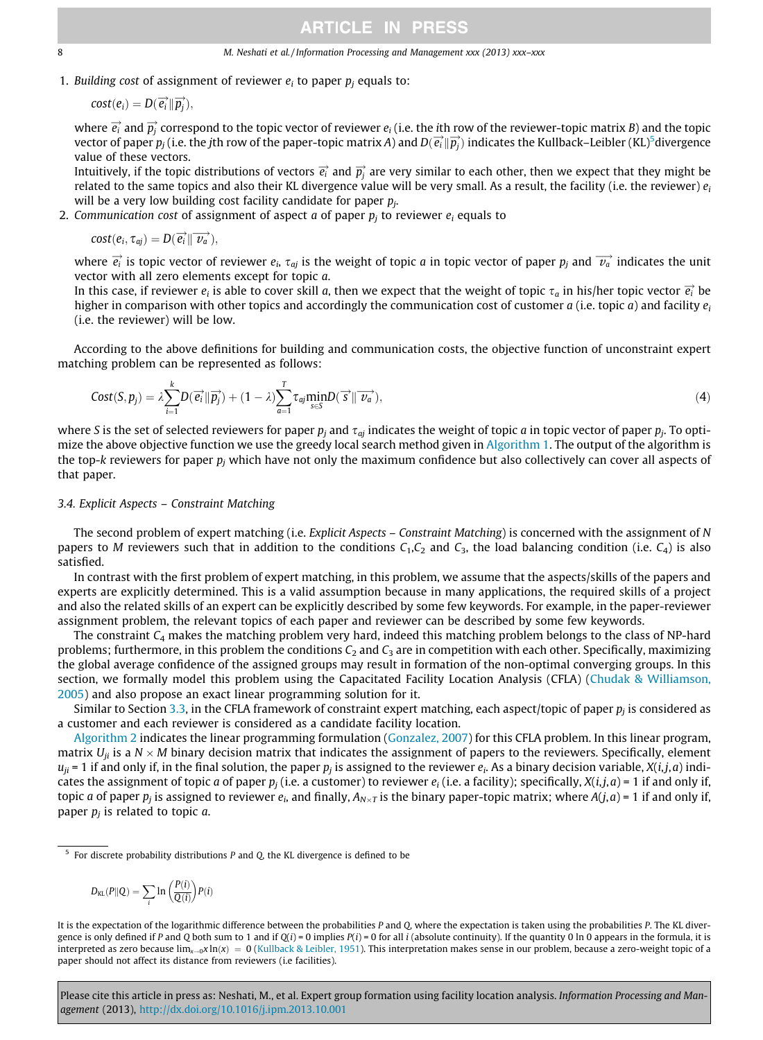1. Building cost of assignment of reviewer  $e_i$  to paper  $p_i$  equals to:

 $cost(e_i) = D(\overrightarrow{e_i} || \overrightarrow{p_j}),$ 

where  $\vec{e_i}$  and  $\vec{p_j}$  correspond to the topic vector of reviewer  $e_i$  (i.e. the ith row of the reviewer-topic matrix B) and the topic vector of paper  $p_j$  (i.e. the jth row of the paper-topic matrix A) and  $D(\vec{e_i}||\vec{p_j})$  indicates the Kullback–Leibler (KL)<sup>5</sup> divergence value of these vectors.

Intuitively, if the topic distributions of vectors  $\overrightarrow{e_i}$  and  $\overrightarrow{p_j}$  are very similar to each other, then we expect that they might be related to the same topics and also their KL divergence value will be very small. As a result, the facility (i.e. the reviewer)  $e_i$ will be a very low building cost facility candidate for paper  $p_i$ .

2. Communication cost of assignment of aspect a of paper  $p_i$  to reviewer  $e_i$  equals to

 $cost(e_i, \tau_{aj}) = D(\overrightarrow{e_i} \| \overrightarrow{v_a}),$ 

where  $\vec{e_i}$  is topic vector of reviewer  $e_i$ ,  $\tau_{aj}$  is the weight of topic  $a$  in topic vector of paper  $p_j$  and  $\overrightarrow{v_a}$  indicates the unit vector with all zero elements except for topic a.

In this case, if reviewer  $e_i$  is able to cover skill a, then we expect that the weight of topic  $\tau_a$  in his/her topic vector  $\vec{e_i}$  be higher in comparison with other topics and accordingly the communication cost of customer  $a$  (i.e. topic  $a$ ) and facility  $e_i$ (i.e. the reviewer) will be low.

According to the above definitions for building and communication costs, the objective function of unconstraint expert matching problem can be represented as follows:

$$
Cost(S, p_j) = \lambda \sum_{i=1}^{k} D(\overrightarrow{e_i} || \overrightarrow{p_j}) + (1 - \lambda) \sum_{a=1}^{T} \tau_{aj} \min_{s \in S} D(\overrightarrow{s} || \overrightarrow{v_a}),
$$
\n(4)

where S is the set of selected reviewers for paper  $p_i$  and  $\tau_{aj}$  indicates the weight of topic a in topic vector of paper  $p_i$ . To optimize the above objective function we use the greedy local search method given in [Algorithm 1](#page-3-0). The output of the algorithm is the top-k reviewers for paper  $p_j$  which have not only the maximum confidence but also collectively can cover all aspects of that paper.

### 3.4. Explicit Aspects – Constraint Matching

The second problem of expert matching (i.e. Explicit Aspects – Constraint Matching) is concerned with the assignment of N papers to M reviewers such that in addition to the conditions  $C_1$ ,  $C_2$  and  $C_3$ , the load balancing condition (i.e.  $C_4$ ) is also satisfied.

In contrast with the first problem of expert matching, in this problem, we assume that the aspects/skills of the papers and experts are explicitly determined. This is a valid assumption because in many applications, the required skills of a project and also the related skills of an expert can be explicitly described by some few keywords. For example, in the paper-reviewer assignment problem, the relevant topics of each paper and reviewer can be described by some few keywords.

The constraint  $C_4$  makes the matching problem very hard, indeed this matching problem belongs to the class of NP-hard problems; furthermore, in this problem the conditions  $C_2$  and  $C_3$  are in competition with each other. Specifically, maximizing the global average confidence of the assigned groups may result in formation of the non-optimal converging groups. In this section, we formally model this problem using the Capacitated Facility Location Analysis (CFLA) [\(Chudak & Williamson,](#page-21-0) [2005](#page-21-0)) and also propose an exact linear programming solution for it.

Similar to Section [3.3](#page-6-0), in the CFLA framework of constraint expert matching, each aspect/topic of paper  $p_i$  is considered as a customer and each reviewer is considered as a candidate facility location.

[Algorithm 2](#page-8-0) indicates the linear programming formulation [\(Gonzalez, 2007](#page-21-0)) for this CFLA problem. In this linear program, matrix  $U_{ji}$  is a  $N \times M$  binary decision matrix that indicates the assignment of papers to the reviewers. Specifically, element  $u_{ji}$  = 1 if and only if, in the final solution, the paper  $p_j$  is assigned to the reviewer  $e_i$ . As a binary decision variable,  $X(i,j,a)$  indicates the assignment of topic a of paper  $p_i$  (i.e. a customer) to reviewer  $e_i$  (i.e. a facility); specifically,  $X(i,j,a) = 1$  if and only if, topic a of paper  $p_i$  is assigned to reviewer  $e_i$ , and finally,  $A_{N\times T}$  is the binary paper-topic matrix; where  $A(j, a) = 1$  if and only if, paper  $p_i$  is related to topic  $a$ .

$$
D_{\text{KL}}(P\|Q) = \sum_{i} \ln \left(\frac{P(i)}{Q(i)}\right) P(i)
$$

It is the expectation of the logarithmic difference between the probabilities P and Q, where the expectation is taken using the probabilities P. The KL divergence is only defined if P and Q both sum to 1 and if  $Q(i) = 0$  implies  $P(i) = 0$  for all *i* (absolute continuity). If the quantity 0 ln 0 appears in the formula, it is interpreted as zero because lim<sub>x-0</sub>x ln(x) = 0 ([Kullback & Leibler, 1951](#page-21-0)). This interpretation makes sense in our problem, because a zero-weight topic of a paper should not affect its distance from reviewers (i.e facilities).

<span id="page-7-0"></span>

 $5$  For discrete probability distributions  $P$  and  $Q$ , the KL divergence is defined to be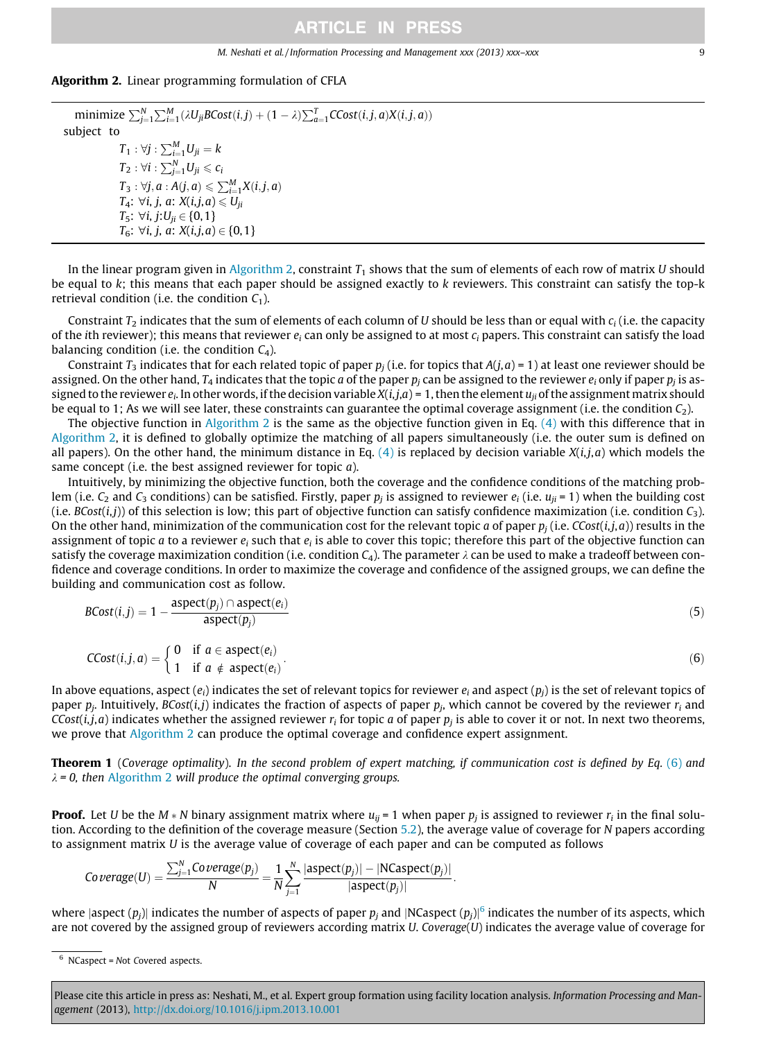### M. Neshati et al. / Information Processing and Management xxx (2013) xxx–xxx 9 9

### <span id="page-8-0"></span>Algorithm 2. Linear programming formulation of CFLA

minimize  $\sum_{j=1}^{N} \sum_{i=1}^{M} (\lambda U_{ji} B Cost(i, j) + (1 - \lambda) \sum_{a=1}^{T} C cost(i, j, a) X(i, j, a))$ subject to  $T_1$  :  $\forall j$  :  $\sum_{i=1}^M U_{ji} = k$  $T_2$  :  $\forall i$  :  $\sum_{j=1}^N U_{ji} \leqslant c_i$  $T_3$ :  $\forall j$ ,  $a$ :  $A(j, a) \leq \sum_{i=1}^{M} X(i, j, a)$  $T_4$ :  $\forall i, j, a$ :  $X(i,j,a) \le U_{ji}$  $T_5$ :  $\forall i, j: U_{ji} \in \{0, 1\}$  $T_6$ :  $\forall i, j, a$ :  $X(i,j,a) \in \{0,1\}$ 

In the linear program given in Algorithm 2, constraint  $T_1$  shows that the sum of elements of each row of matrix U should be equal to k; this means that each paper should be assigned exactly to k reviewers. This constraint can satisfy the top-k retrieval condition (i.e. the condition  $C_1$ ).

Constraint  $T_2$  indicates that the sum of elements of each column of U should be less than or equal with  $c_i$  (i.e. the capacity of the ith reviewer); this means that reviewer  $e_i$  can only be assigned to at most  $c_i$  papers. This constraint can satisfy the load balancing condition (i.e. the condition  $C_4$ ).

Constraint  $T_3$  indicates that for each related topic of paper  $p_i$  (i.e. for topics that  $A(i, a) = 1$ ) at least one reviewer should be assigned. On the other hand,  $T_4$  indicates that the topic a of the paper  $p_i$  can be assigned to the reviewer  $e_i$  only if paper  $p_i$  is assigned to the reviewer  $e_i$ . In other words, if the decision variable  $X(i, j, a) = 1$ , then the element  $u_{ii}$  of the assignment matrix should be equal to 1; As we will see later, these constraints can guarantee the optimal coverage assignment (i.e. the condition  $C_2$ ).

The objective function in Algorithm 2 is the same as the objective function given in Eq.  $(4)$  with this difference that in Algorithm 2, it is defined to globally optimize the matching of all papers simultaneously (i.e. the outer sum is defined on all papers). On the other hand, the minimum distance in Eq. [\(4\)](#page-7-0) is replaced by decision variable  $X(i,j,a)$  which models the same concept (i.e. the best assigned reviewer for topic *a*).

Intuitively, by minimizing the objective function, both the coverage and the confidence conditions of the matching problem (i.e.  $C_2$  and  $C_3$  conditions) can be satisfied. Firstly, paper  $p_i$  is assigned to reviewer  $e_i$  (i.e.  $u_{ii}$  = 1) when the building cost (i.e.  $BCost(i,j)$ ) of this selection is low; this part of objective function can satisfy confidence maximization (i.e. condition  $C_3$ ). On the other hand, minimization of the communication cost for the relevant topic *a* of paper  $p_i$  (i.e. CCost(*i,j,a*)) results in the assignment of topic a to a reviewer  $e_i$  such that  $e_i$  is able to cover this topic; therefore this part of the objective function can satisfy the coverage maximization condition (i.e. condition  $C_4$ ). The parameter  $\lambda$  can be used to make a tradeoff between confidence and coverage conditions. In order to maximize the coverage and confidence of the assigned groups, we can define the building and communication cost as follow.

$$
BCost(i,j) = 1 - \frac{aspect(p_j) \cap aspect(e_i)}{aspect(p_j)}
$$
(5)

$$
CCost(i, j, a) = \begin{cases} 0 & \text{if } a \in \text{aspect}(e_i) \\ 1 & \text{if } a \notin \text{aspect}(e_i) \end{cases} \tag{6}
$$

In above equations, aspect  $(e_i)$  indicates the set of relevant topics for reviewer  $e_i$  and aspect  $(p_i)$  is the set of relevant topics of paper  $p_i$ . Intuitively, BCost(i,j) indicates the fraction of aspects of paper  $p_i$ , which cannot be covered by the reviewer  $r_i$  and CCost(i,j,a) indicates whether the assigned reviewer  $r_i$  for topic a of paper  $p_i$  is able to cover it or not. In next two theorems, we prove that Algorithm 2 can produce the optimal coverage and confidence expert assignment.

**Theorem 1** (Coverage optimality). In the second problem of expert matching, if communication cost is defined by Eq. (6) and  $\lambda = 0$ , then Algorithm 2 will produce the optimal converging groups.

**Proof.** Let U be the  $M * N$  binary assignment matrix where  $u_{ij} = 1$  when paper  $p_j$  is assigned to reviewer  $r_i$  in the final solution. According to the definition of the coverage measure (Section [5.2\)](#page-13-0), the average value of coverage for N papers according to assignment matrix U is the average value of coverage of each paper and can be computed as follows

$$
Coverage(U) = \frac{\sum_{j=1}^{N}Coverage(p_j)}{N} = \frac{1}{N} \sum_{j=1}^{N} \frac{|aspect(p_j)| - |NCaspect(p_j)|}{|aspect(p_j)|}.
$$

where |aspect (p<sub>j</sub>)| indicates the number of aspects of paper  $p_j$  and |NCaspect ( $p_j$ )|<sup>6</sup> indicates the number of its aspects, which are not covered by the assigned group of reviewers according matrix  $U$ . Coverage( $U$ ) indicates the average value of coverage for

 $6$  NCaspect = Not Covered aspects.

Please cite this article in press as: Neshati, M., et al. Expert group formation using facility location analysis. Information Processing and Management (2013), <http://dx.doi.org/10.1016/j.ipm.2013.10.001>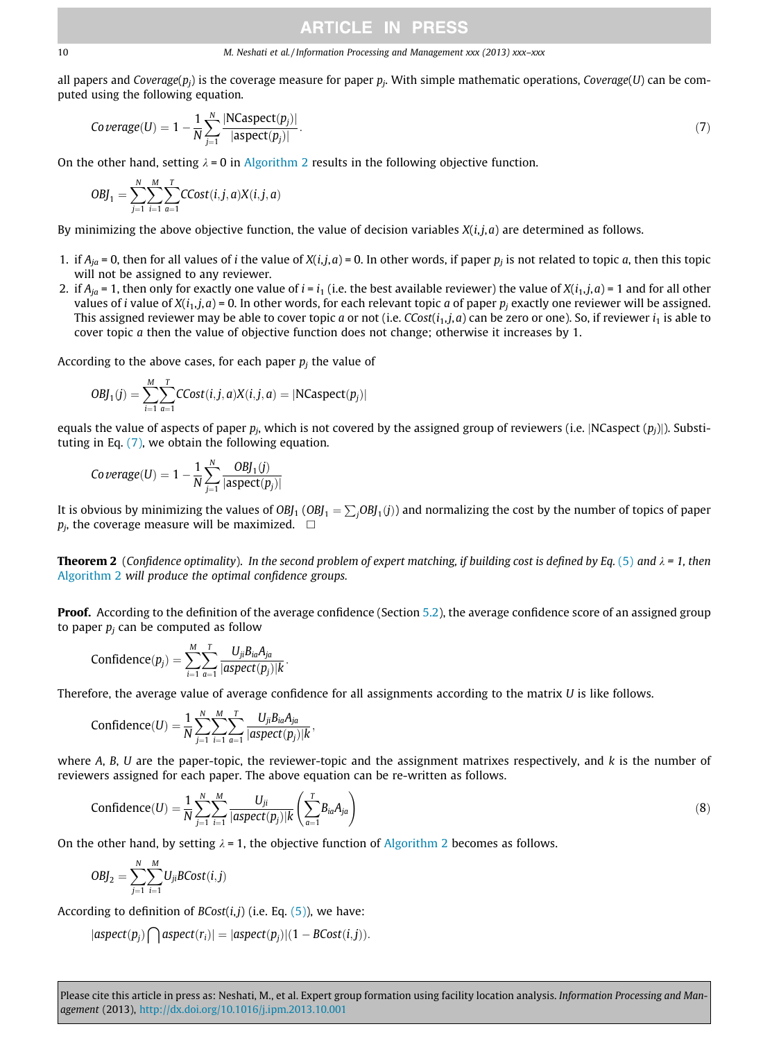### <span id="page-9-0"></span>10 M. Neshati et al. / Information Processing and Management xxx (2013) xxx–xxx

all papers and Coverage( $p_i$ ) is the coverage measure for paper  $p_i$ . With simple mathematic operations, Coverage(U) can be computed using the following equation.

$$
Coverage(U) = 1 - \frac{1}{N} \sum_{j=1}^{N} \frac{|NCaspect(p_j)|}{|\text{aspect}(p_j)|}.
$$
\n(7)

On the other hand, setting  $\lambda = 0$  in [Algorithm 2](#page-8-0) results in the following objective function.

$$
OBJ_1 = \sum_{j=1}^{N} \sum_{i=1}^{M} \sum_{a=1}^{T} CCost(i,j,a)X(i,j,a)
$$

By minimizing the above objective function, the value of decision variables  $X(i,j,a)$  are determined as follows.

- 1. if  $A_{ia} = 0$ , then for all values of i the value of  $X(i,j,a) = 0$ . In other words, if paper  $p_i$  is not related to topic a, then this topic will not be assigned to any reviewer.
- 2. if  $A_{ja} = 1$ , then only for exactly one value of  $i = i_1$  (i.e. the best available reviewer) the value of  $X(i_1,j,a) = 1$  and for all other values of *i* value of  $X(i_1,j,a) = 0$ . In other words, for each relevant topic *a* of paper  $p_i$  exactly one reviewer will be assigned. This assigned reviewer may be able to cover topic a or not (i.e.  $C\text{Cost}(i_1,i,a)$  can be zero or one). So, if reviewer  $i_1$  is able to cover topic a then the value of objective function does not change; otherwise it increases by 1.

According to the above cases, for each paper  $p_i$  the value of

$$
OBJ_1(j) = \sum_{i=1}^{M} \sum_{a=1}^{T} CCost(i,j,a)X(i,j,a) = |NCaspect(p_j)|
$$

equals the value of aspects of paper  $p_i$ , which is not covered by the assigned group of reviewers (i.e.  $|NCa|$ ). Substituting in Eq. (7), we obtain the following equation.

$$
Co \text{verage}(U) = 1 - \frac{1}{N} \sum_{j=1}^{N} \frac{OBJ_1(j)}{|\text{aspect}(p_j)|}
$$

It is obvious by minimizing the values of OBJ1 (OBJ $_1=\sum_j$ OBJ $_1(j)$ ) and normalizing the cost by the number of topics of paper  $p_j$ , the coverage measure will be maximized.  $\Box$ 

**Theorem 2** (Confidence optimality). In the second problem of expert matching, if building cost is defined by Eq. [\(5\)](#page-8-0) and  $\lambda = 1$ , then [Algorithm 2](#page-8-0) will produce the optimal confidence groups.

**Proof.** According to the definition of the average confidence (Section [5.2](#page-13-0)), the average confidence score of an assigned group to paper  $p_i$  can be computed as follow

$$
\text{Confidence}(p_j) = \sum_{i=1}^{M} \sum_{a=1}^{T} \frac{U_{ji} B_{ia} A_{ja}}{|aspect(p_j)|k}.
$$

Therefore, the average value of average confidence for all assignments according to the matrix U is like follows.

$$
\text{Confidence}(U) = \frac{1}{N} \sum_{j=1}^{N} \sum_{i=1}^{M} \sum_{a=1}^{T} \frac{U_{ji} B_{ia} A_{ja}}{|\text{aspect}(p_j)|k},
$$

where A, B, U are the paper-topic, the reviewer-topic and the assignment matrixes respectively, and  $k$  is the number of reviewers assigned for each paper. The above equation can be re-written as follows.

$$
\text{Confidence}(U) = \frac{1}{N} \sum_{j=1}^{N} \sum_{i=1}^{M} \frac{U_{ji}}{|aspect(p_j)| k} \left( \sum_{a=1}^{T} B_{ia} A_{ja} \right) \tag{8}
$$

On the other hand, by setting  $\lambda = 1$ , the objective function of [Algorithm 2](#page-8-0) becomes as follows.

$$
OBJ_2 = \sum_{j=1}^{N} \sum_{i=1}^{M} U_{ji} BCost(i,j)
$$

According to definition of  $BCost(i, j)$  (i.e. Eq. [\(5\)](#page-8-0)), we have:

$$
|aspect(p_j) \bigcap aspect(r_i)| = |aspect(p_j)|(1 - BCost(i,j)).
$$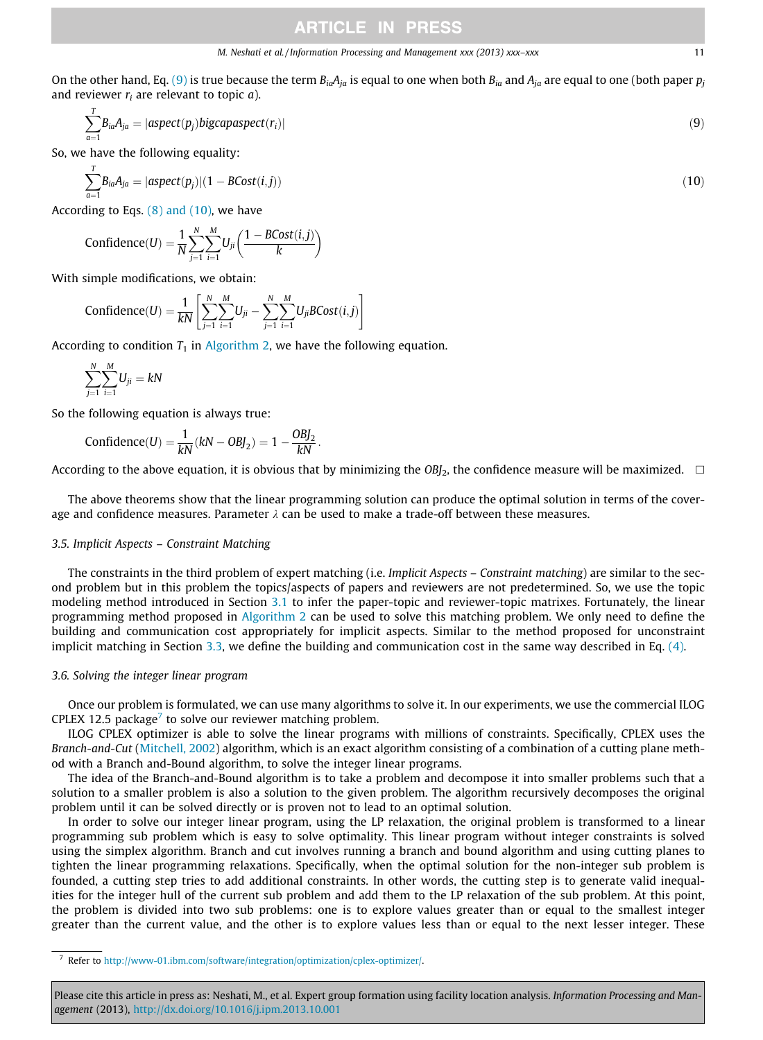#### M. Neshati et al. / Information Processing and Management xxx (2013) xxx–xxx 11

On the other hand, Eq. (9) is true because the term  $B_{ia}A_{ja}$  is equal to one when both  $B_{ia}$  and  $A_{ja}$  are equal to one (both paper  $p_j$ and reviewer  $r_i$  are relevant to topic  $a$ ).

$$
\sum_{a=1}^{T} B_{ia} A_{ja} = |aspect(p_j) \text{bigcap} aspect(r_i)|
$$
\n(9)

So, we have the following equality:

$$
\sum_{a=1}^{T} B_{ia} A_{ja} = |aspect(p_j)| (1 - BCost(i,j))
$$
\n(10)

According to Eqs. [\(8\) and \(10\),](#page-9-0) we have

$$
\text{Confidence}(U) = \frac{1}{N} \sum_{j=1}^{N} \sum_{i=1}^{M} U_{ji} \left( \frac{1 - BCost(i, j)}{k} \right)
$$

With simple modifications, we obtain:

$$
\text{Confidence}(U) = \frac{1}{kN} \left[ \sum_{j=1}^{N} \sum_{i=1}^{M} U_{ji} - \sum_{j=1}^{N} \sum_{i=1}^{M} U_{ji} B \text{Cost}(i, j) \right]
$$

According to condition  $T_1$  in [Algorithm 2](#page-8-0), we have the following equation.

$$
\sum_{j=1}^N\sum_{i=1}^M U_{ji}=kN
$$

So the following equation is always true:

$$
\text{Confidence}(U) = \frac{1}{kN}(kN - OBJ_2) = 1 - \frac{OBJ_2}{kN}.
$$

According to the above equation, it is obvious that by minimizing the OBJ<sub>2</sub>, the confidence measure will be maximized.  $\Box$ 

The above theorems show that the linear programming solution can produce the optimal solution in terms of the coverage and confidence measures. Parameter  $\lambda$  can be used to make a trade-off between these measures.

### 3.5. Implicit Aspects – Constraint Matching

The constraints in the third problem of expert matching (i.e. Implicit Aspects – Constraint matching) are similar to the second problem but in this problem the topics/aspects of papers and reviewers are not predetermined. So, we use the topic modeling method introduced in Section [3.1](#page-4-0) to infer the paper-topic and reviewer-topic matrixes. Fortunately, the linear programming method proposed in [Algorithm 2](#page-8-0) can be used to solve this matching problem. We only need to define the building and communication cost appropriately for implicit aspects. Similar to the method proposed for unconstraint implicit matching in Section [3.3,](#page-6-0) we define the building and communication cost in the same way described in Eq. [\(4\)](#page-7-0).

### 3.6. Solving the integer linear program

Once our problem is formulated, we can use many algorithms to solve it. In our experiments, we use the commercial ILOG CPLEX 12.5 package<sup>7</sup> to solve our reviewer matching problem.

ILOG CPLEX optimizer is able to solve the linear programs with millions of constraints. Specifically, CPLEX uses the Branch-and-Cut ([Mitchell, 2002\)](#page-21-0) algorithm, which is an exact algorithm consisting of a combination of a cutting plane method with a Branch and-Bound algorithm, to solve the integer linear programs.

The idea of the Branch-and-Bound algorithm is to take a problem and decompose it into smaller problems such that a solution to a smaller problem is also a solution to the given problem. The algorithm recursively decomposes the original problem until it can be solved directly or is proven not to lead to an optimal solution.

In order to solve our integer linear program, using the LP relaxation, the original problem is transformed to a linear programming sub problem which is easy to solve optimality. This linear program without integer constraints is solved using the simplex algorithm. Branch and cut involves running a branch and bound algorithm and using cutting planes to tighten the linear programming relaxations. Specifically, when the optimal solution for the non-integer sub problem is founded, a cutting step tries to add additional constraints. In other words, the cutting step is to generate valid inequalities for the integer hull of the current sub problem and add them to the LP relaxation of the sub problem. At this point, the problem is divided into two sub problems: one is to explore values greater than or equal to the smallest integer greater than the current value, and the other is to explore values less than or equal to the next lesser integer. These

<sup>7</sup> Refer to <http://www-01.ibm.com/software/integration/optimization/cplex-optimizer/>.

Please cite this article in press as: Neshati, M., et al. Expert group formation using facility location analysis. Information Processing and Management (2013), <http://dx.doi.org/10.1016/j.ipm.2013.10.001>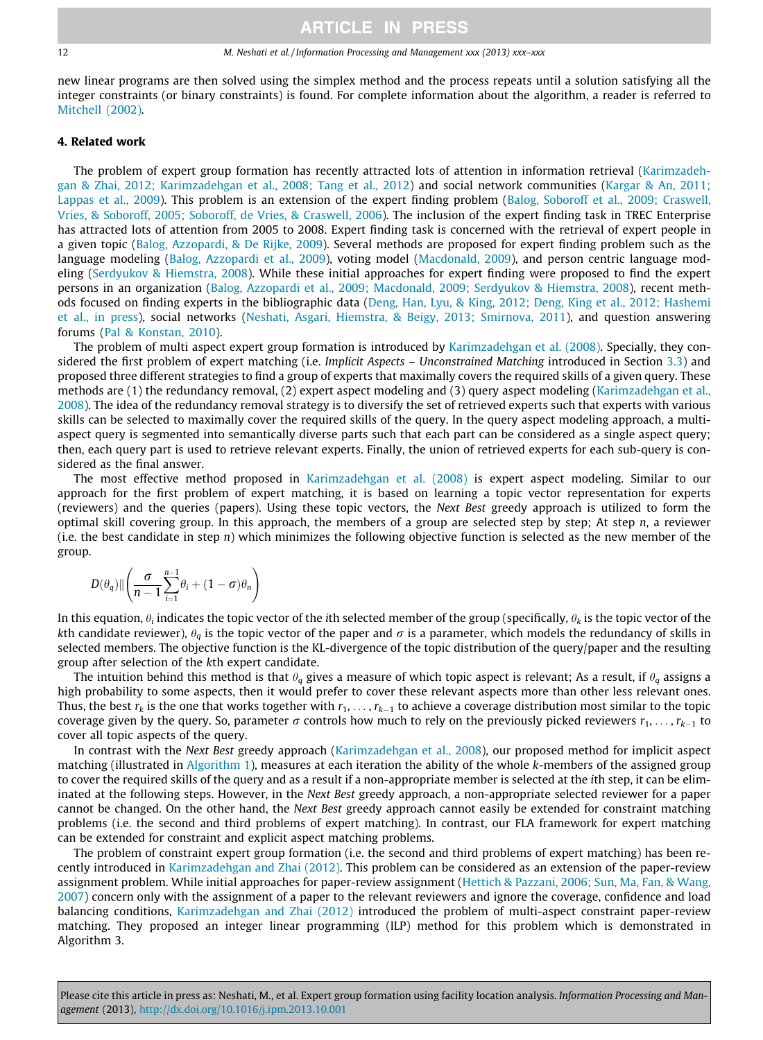### <span id="page-11-0"></span>12 M. Neshati et al. / Information Processing and Management xxx (2013) xxx–xxx

new linear programs are then solved using the simplex method and the process repeats until a solution satisfying all the integer constraints (or binary constraints) is found. For complete information about the algorithm, a reader is referred to [Mitchell \(2002\).](#page-21-0)

### 4. Related work

The problem of expert group formation has recently attracted lots of attention in information retrieval ([Karimzadeh](#page-21-0)[gan & Zhai, 2012; Karimzadehgan et al., 2008; Tang et al., 2012](#page-21-0)) and social network communities [\(Kargar & An, 2011;](#page-21-0) [Lappas et al., 2009](#page-21-0)). This problem is an extension of the expert finding problem [\(Balog, Soboroff et al., 2009; Craswell,](#page-21-0) [Vries, & Soboroff, 2005; Soboroff, de Vries, & Craswell, 2006\)](#page-21-0). The inclusion of the expert finding task in TREC Enterprise has attracted lots of attention from 2005 to 2008. Expert finding task is concerned with the retrieval of expert people in a given topic [\(Balog, Azzopardi, & De Rijke, 2009](#page-21-0)). Several methods are proposed for expert finding problem such as the language modeling ([Balog, Azzopardi et al., 2009](#page-21-0)), voting model ([Macdonald, 2009\)](#page-21-0), and person centric language modeling [\(Serdyukov & Hiemstra, 2008\)](#page-21-0). While these initial approaches for expert finding were proposed to find the expert persons in an organization [\(Balog, Azzopardi et al., 2009; Macdonald, 2009; Serdyukov & Hiemstra, 2008](#page-21-0)), recent methods focused on finding experts in the bibliographic data ([Deng, Han, Lyu, & King, 2012; Deng, King et al., 2012; Hashemi](#page-21-0) [et al., in press\)](#page-21-0), social networks ([Neshati, Asgari, Hiemstra, & Beigy, 2013; Smirnova, 2011](#page-21-0)), and question answering forums ([Pal & Konstan, 2010\)](#page-21-0).

The problem of multi aspect expert group formation is introduced by [Karimzadehgan et al. \(2008\)](#page-21-0). Specially, they considered the first problem of expert matching (i.e. Implicit Aspects – Unconstrained Matching introduced in Section [3.3](#page-6-0)) and proposed three different strategies to find a group of experts that maximally covers the required skills of a given query. These methods are (1) the redundancy removal, (2) expert aspect modeling and (3) query aspect modeling ([Karimzadehgan et al.,](#page-21-0) [2008](#page-21-0)). The idea of the redundancy removal strategy is to diversify the set of retrieved experts such that experts with various skills can be selected to maximally cover the required skills of the query. In the query aspect modeling approach, a multiaspect query is segmented into semantically diverse parts such that each part can be considered as a single aspect query; then, each query part is used to retrieve relevant experts. Finally, the union of retrieved experts for each sub-query is considered as the final answer.

The most effective method proposed in [Karimzadehgan et al. \(2008\)](#page-21-0) is expert aspect modeling. Similar to our approach for the first problem of expert matching, it is based on learning a topic vector representation for experts (reviewers) and the queries (papers). Using these topic vectors, the Next Best greedy approach is utilized to form the optimal skill covering group. In this approach, the members of a group are selected step by step; At step n, a reviewer (i.e. the best candidate in step  $n$ ) which minimizes the following objective function is selected as the new member of the group.

$$
D(\theta_q)\|\left(\frac{\sigma}{n-1}\sum_{i=1}^{n-1}\theta_i+(1-\sigma)\theta_n\right)
$$

In this equation,  $\theta_i$  indicates the topic vector of the *i*th selected member of the group (specifically,  $\theta_k$  is the topic vector of the kth candidate reviewer),  $\theta_q$  is the topic vector of the paper and  $\sigma$  is a parameter, which models the redundancy of skills in selected members. The objective function is the KL-divergence of the topic distribution of the query/paper and the resulting group after selection of the kth expert candidate.

The intuition behind this method is that  $\theta_q$  gives a measure of which topic aspect is relevant; As a result, if  $\theta_q$  assigns a high probability to some aspects, then it would prefer to cover these relevant aspects more than other less relevant ones. Thus, the best  $r_k$  is the one that works together with  $r_1, \ldots, r_{k-1}$  to achieve a coverage distribution most similar to the topic coverage given by the query. So, parameter  $\sigma$  controls how much to rely on the previously picked reviewers  $r_1, \ldots, r_{k-1}$  to cover all topic aspects of the query.

In contrast with the Next Best greedy approach [\(Karimzadehgan et al., 2008\)](#page-21-0), our proposed method for implicit aspect matching (illustrated in [Algorithm 1\)](#page-3-0), measures at each iteration the ability of the whole k-members of the assigned group to cover the required skills of the query and as a result if a non-appropriate member is selected at the ith step, it can be eliminated at the following steps. However, in the Next Best greedy approach, a non-appropriate selected reviewer for a paper cannot be changed. On the other hand, the Next Best greedy approach cannot easily be extended for constraint matching problems (i.e. the second and third problems of expert matching). In contrast, our FLA framework for expert matching can be extended for constraint and explicit aspect matching problems.

The problem of constraint expert group formation (i.e. the second and third problems of expert matching) has been recently introduced in [Karimzadehgan and Zhai \(2012\).](#page-21-0) This problem can be considered as an extension of the paper-review assignment problem. While initial approaches for paper-review assignment [\(Hettich & Pazzani, 2006; Sun, Ma, Fan, & Wang,](#page-21-0) [2007](#page-21-0)) concern only with the assignment of a paper to the relevant reviewers and ignore the coverage, confidence and load balancing conditions, [Karimzadehgan and Zhai \(2012\)](#page-21-0) introduced the problem of multi-aspect constraint paper-review matching. They proposed an integer linear programming (ILP) method for this problem which is demonstrated in Algorithm 3.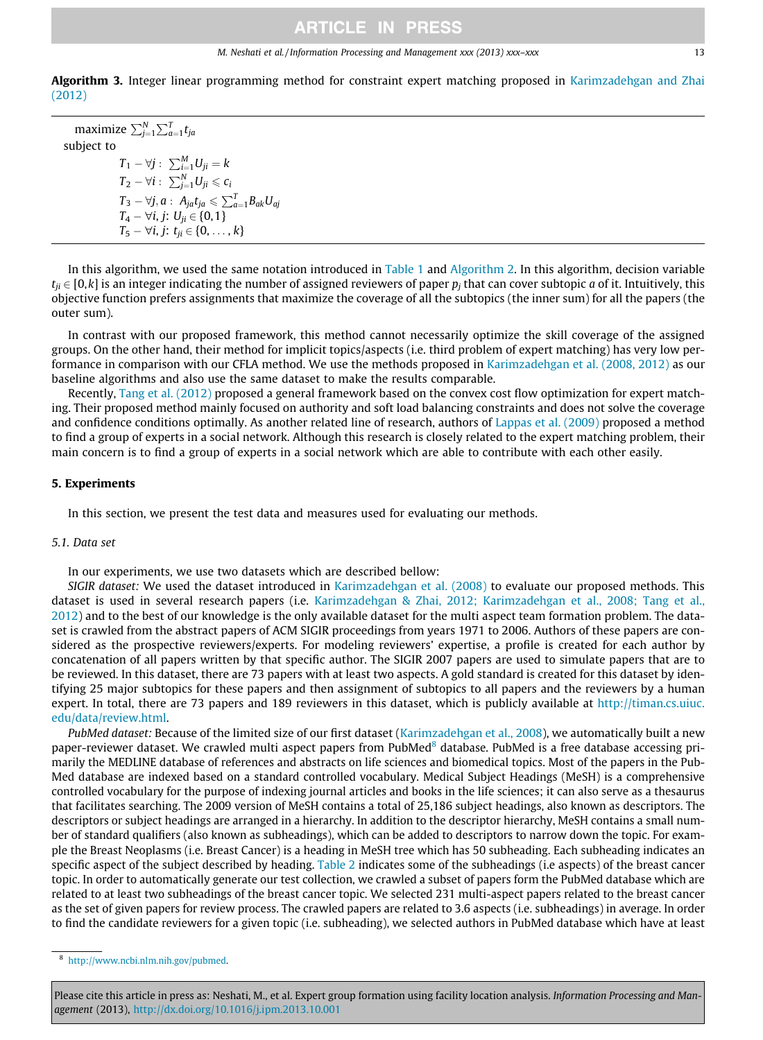<span id="page-12-0"></span>Algorithm 3. Integer linear programming method for constraint expert matching proposed in [Karimzadehgan and Zhai](#page-21-0) [\(2012\)](#page-21-0)

| maximize $\sum_{i=1}^{N} \sum_{a=1}^{T} t_{ia}$                        |
|------------------------------------------------------------------------|
| subject to                                                             |
| $T_1 - \forall j: \sum_{i=1}^{M} U_{ii} = k$                           |
| $T_2 - \forall i: \sum_{i=1}^N U_{ii} \leqslant c_i$                   |
| $T_3 - \forall j, a: A_{ia}t_{ia} \leqslant \sum_{a=1}^T B_{ak}U_{ai}$ |
| $T_4 - \forall i, j$ : $U_{ii} \in \{0, 1\}$                           |
| $T_5 - \forall i, j$ : $t_{ji} \in \{0, , k\}$                         |

In this algorithm, we used the same notation introduced in [Table 1](#page-5-0) and [Algorithm 2.](#page-8-0) In this algorithm, decision variable  $t_{ij} \in [0,k]$  is an integer indicating the number of assigned reviewers of paper  $p_i$  that can cover subtopic a of it. Intuitively, this objective function prefers assignments that maximize the coverage of all the subtopics (the inner sum) for all the papers (the outer sum).

In contrast with our proposed framework, this method cannot necessarily optimize the skill coverage of the assigned groups. On the other hand, their method for implicit topics/aspects (i.e. third problem of expert matching) has very low performance in comparison with our CFLA method. We use the methods proposed in [Karimzadehgan et al. \(2008, 2012\)](#page-21-0) as our baseline algorithms and also use the same dataset to make the results comparable.

Recently, [Tang et al. \(2012\)](#page-22-0) proposed a general framework based on the convex cost flow optimization for expert matching. Their proposed method mainly focused on authority and soft load balancing constraints and does not solve the coverage and confidence conditions optimally. As another related line of research, authors of [Lappas et al. \(2009\)](#page-21-0) proposed a method to find a group of experts in a social network. Although this research is closely related to the expert matching problem, their main concern is to find a group of experts in a social network which are able to contribute with each other easily.

### 5. Experiments

In this section, we present the test data and measures used for evaluating our methods.

### 5.1. Data set

In our experiments, we use two datasets which are described bellow:

SIGIR dataset: We used the dataset introduced in [Karimzadehgan et al. \(2008\)](#page-21-0) to evaluate our proposed methods. This dataset is used in several research papers (i.e. [Karimzadehgan & Zhai, 2012; Karimzadehgan et al., 2008; Tang et al.,](#page-21-0) [2012\)](#page-21-0) and to the best of our knowledge is the only available dataset for the multi aspect team formation problem. The dataset is crawled from the abstract papers of ACM SIGIR proceedings from years 1971 to 2006. Authors of these papers are considered as the prospective reviewers/experts. For modeling reviewers' expertise, a profile is created for each author by concatenation of all papers written by that specific author. The SIGIR 2007 papers are used to simulate papers that are to be reviewed. In this dataset, there are 73 papers with at least two aspects. A gold standard is created for this dataset by identifying 25 major subtopics for these papers and then assignment of subtopics to all papers and the reviewers by a human expert. In total, there are 73 papers and 189 reviewers in this dataset, which is publicly available at [http://timan.cs.uiuc.](http://timan.cs.uiuc.edu/data/review.html) [edu/data/review.html.](http://timan.cs.uiuc.edu/data/review.html)

PubMed dataset: Because of the limited size of our first dataset ([Karimzadehgan et al., 2008](#page-21-0)), we automatically built a new paper-reviewer dataset. We crawled multi aspect papers from PubMed $8$  database. PubMed is a free database accessing primarily the MEDLINE database of references and abstracts on life sciences and biomedical topics. Most of the papers in the Pub-Med database are indexed based on a standard controlled vocabulary. Medical Subject Headings (MeSH) is a comprehensive controlled vocabulary for the purpose of indexing journal articles and books in the life sciences; it can also serve as a thesaurus that facilitates searching. The 2009 version of MeSH contains a total of 25,186 subject headings, also known as descriptors. The descriptors or subject headings are arranged in a hierarchy. In addition to the descriptor hierarchy, MeSH contains a small number of standard qualifiers (also known as subheadings), which can be added to descriptors to narrow down the topic. For example the Breast Neoplasms (i.e. Breast Cancer) is a heading in MeSH tree which has 50 subheading. Each subheading indicates an specific aspect of the subject described by heading. [Table 2](#page-13-0) indicates some of the subheadings (i.e aspects) of the breast cancer topic. In order to automatically generate our test collection, we crawled a subset of papers form the PubMed database which are related to at least two subheadings of the breast cancer topic. We selected 231 multi-aspect papers related to the breast cancer as the set of given papers for review process. The crawled papers are related to 3.6 aspects (i.e. subheadings) in average. In order to find the candidate reviewers for a given topic (i.e. subheading), we selected authors in PubMed database which have at least

<sup>8</sup> <http://www.ncbi.nlm.nih.gov/pubmed>.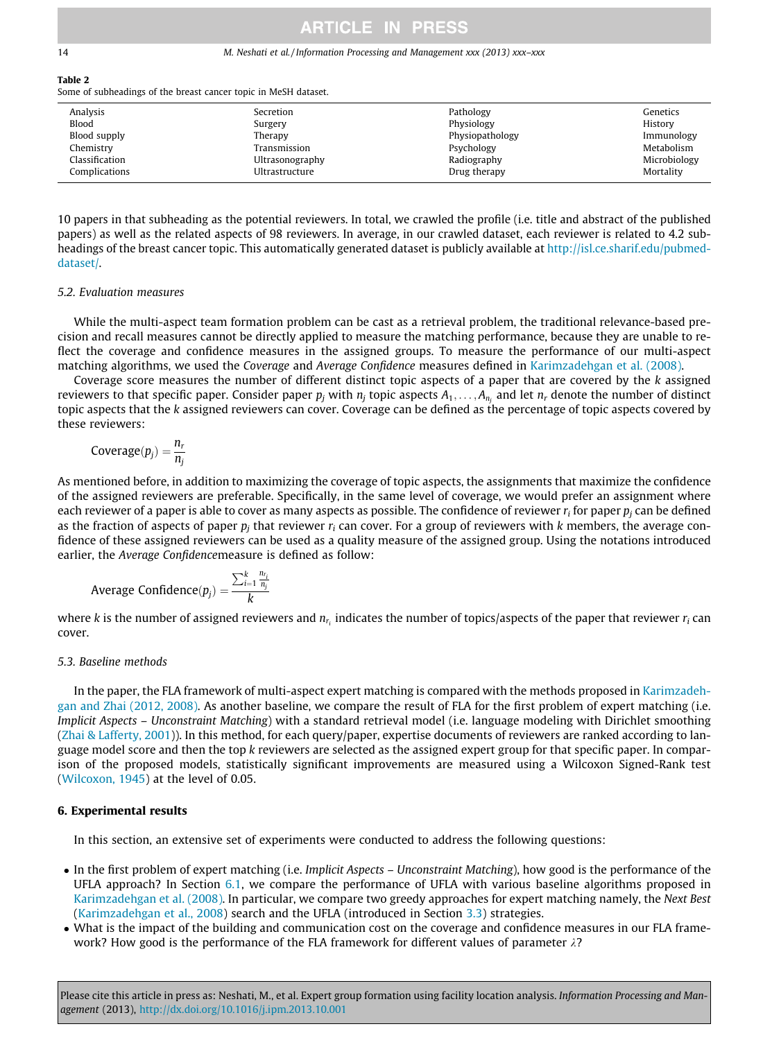### <span id="page-13-0"></span>14 M. Neshati et al. / Information Processing and Management xxx (2013) xxx–xxx

### Table 2

Some of subheadings of the breast cancer topic in MeSH dataset.

| Analysis       | Secretion       | Pathology       | Genetics     |
|----------------|-----------------|-----------------|--------------|
| Blood          | Surgery         | Physiology      | History      |
| Blood supply   | Therapy         | Physiopathology | Immunology   |
| Chemistry      | Transmission    | Psychology      | Metabolism   |
| Classification | Ultrasonography | Radiography     | Microbiology |
| Complications  | Ultrastructure  | Drug therapy    | Mortality    |
|                |                 |                 |              |

10 papers in that subheading as the potential reviewers. In total, we crawled the profile (i.e. title and abstract of the published papers) as well as the related aspects of 98 reviewers. In average, in our crawled dataset, each reviewer is related to 4.2 subheadings of the breast cancer topic. This automatically generated dataset is publicly available at [http://isl.ce.sharif.edu/pubmed](http://isl.ce.sharif.edu/pubmed-dataset/)[dataset/.](http://isl.ce.sharif.edu/pubmed-dataset/)

### 5.2. Evaluation measures

While the multi-aspect team formation problem can be cast as a retrieval problem, the traditional relevance-based precision and recall measures cannot be directly applied to measure the matching performance, because they are unable to reflect the coverage and confidence measures in the assigned groups. To measure the performance of our multi-aspect matching algorithms, we used the Coverage and Average Confidence measures defined in [Karimzadehgan et al. \(2008\)](#page-21-0).

Coverage score measures the number of different distinct topic aspects of a paper that are covered by the k assigned reviewers to that specific paper. Consider paper  $p_i$  with  $n_i$  topic aspects  $A_1, \ldots, A_{n_i}$  and let  $n_r$  denote the number of distinct topic aspects that the k assigned reviewers can cover. Coverage can be defined as the percentage of topic aspects covered by these reviewers:

$$
Coverage(p_j) = \frac{n_r}{n_j}
$$

As mentioned before, in addition to maximizing the coverage of topic aspects, the assignments that maximize the confidence of the assigned reviewers are preferable. Specifically, in the same level of coverage, we would prefer an assignment where each reviewer of a paper is able to cover as many aspects as possible. The confidence of reviewer  $r_i$  for paper  $p_i$  can be defined as the fraction of aspects of paper  $p_i$  that reviewer  $r_i$  can cover. For a group of reviewers with k members, the average confidence of these assigned reviewers can be used as a quality measure of the assigned group. Using the notations introduced earlier, the Average Confidencemeasure is defined as follow:

Average Confidence(
$$
p_j
$$
) =  $\frac{\sum_{i=1}^{k} \frac{n_{r_i}}{n_j}}{k}$ 

where k is the number of assigned reviewers and  $n_r$  indicates the number of topics/aspects of the paper that reviewer  $r_i$  can cover.

### 5.3. Baseline methods

In the paper, the FLA framework of multi-aspect expert matching is compared with the methods proposed in [Karimzadeh](#page-21-0)[gan and Zhai \(2012, 2008\)](#page-21-0). As another baseline, we compare the result of FLA for the first problem of expert matching (i.e. Implicit Aspects – Unconstraint Matching) with a standard retrieval model (i.e. language modeling with Dirichlet smoothing [\(Zhai & Lafferty, 2001](#page-22-0))). In this method, for each query/paper, expertise documents of reviewers are ranked according to language model score and then the top k reviewers are selected as the assigned expert group for that specific paper. In comparison of the proposed models, statistically significant improvements are measured using a Wilcoxon Signed-Rank test [\(Wilcoxon, 1945\)](#page-22-0) at the level of 0.05.

### 6. Experimental results

In this section, an extensive set of experiments were conducted to address the following questions:

- In the first problem of expert matching (i.e. *Implicit Aspects Unconstraint Matching*), how good is the performance of the UFLA approach? In Section [6.1](#page-14-0), we compare the performance of UFLA with various baseline algorithms proposed in [Karimzadehgan et al. \(2008\).](#page-21-0) In particular, we compare two greedy approaches for expert matching namely, the Next Best ([Karimzadehgan et al., 2008](#page-21-0)) search and the UFLA (introduced in Section [3.3](#page-6-0)) strategies.
- What is the impact of the building and communication cost on the coverage and confidence measures in our FLA framework? How good is the performance of the FLA framework for different values of parameter  $\lambda$ ?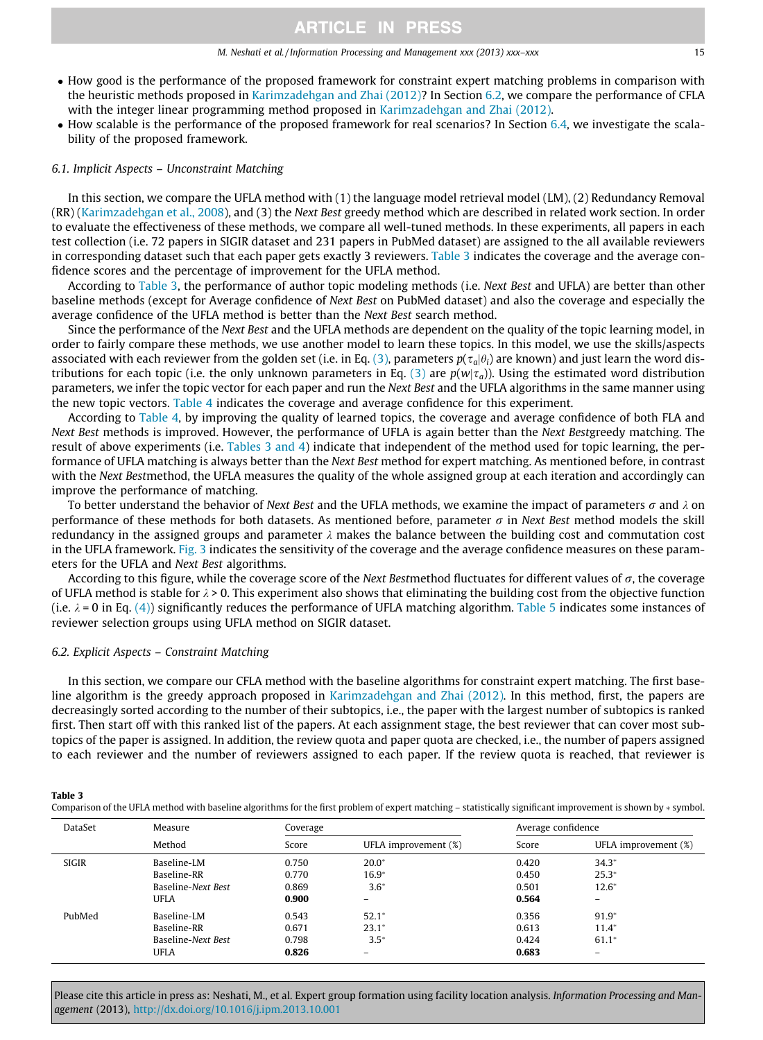- <span id="page-14-0"></span>• How good is the performance of the proposed framework for constraint expert matching problems in comparison with the heuristic methods proposed in [Karimzadehgan and Zhai \(2012\)?](#page-21-0) In Section 6.2, we compare the performance of CFLA with the integer linear programming method proposed in [Karimzadehgan and Zhai \(2012\)](#page-21-0).
- How scalable is the performance of the proposed framework for real scenarios? In Section [6.4,](#page-18-0) we investigate the scalability of the proposed framework.

### 6.1. Implicit Aspects – Unconstraint Matching

In this section, we compare the UFLA method with (1) the language model retrieval model (LM), (2) Redundancy Removal (RR) [\(Karimzadehgan et al., 2008](#page-21-0)), and (3) the Next Best greedy method which are described in related work section. In order to evaluate the effectiveness of these methods, we compare all well-tuned methods. In these experiments, all papers in each test collection (i.e. 72 papers in SIGIR dataset and 231 papers in PubMed dataset) are assigned to the all available reviewers in corresponding dataset such that each paper gets exactly 3 reviewers. Table 3 indicates the coverage and the average confidence scores and the percentage of improvement for the UFLA method.

According to Table 3, the performance of author topic modeling methods (i.e. Next Best and UFLA) are better than other baseline methods (except for Average confidence of Next Best on PubMed dataset) and also the coverage and especially the average confidence of the UFLA method is better than the Next Best search method.

Since the performance of the Next Best and the UFLA methods are dependent on the quality of the topic learning model, in order to fairly compare these methods, we use another model to learn these topics. In this model, we use the skills/aspects associated with each reviewer from the golden set (i.e. in Eq. [\(3\)](#page-5-0), parameters  $p(\tau_a|\theta_i)$  are known) and just learn the word dis-tributions for each topic (i.e. the only unknown parameters in Eq. [\(3\)](#page-5-0) are  $p(w|\tau_a)$ ). Using the estimated word distribution parameters, we infer the topic vector for each paper and run the Next Best and the UFLA algorithms in the same manner using the new topic vectors. [Table 4](#page-15-0) indicates the coverage and average confidence for this experiment.

According to [Table 4](#page-15-0), by improving the quality of learned topics, the coverage and average confidence of both FLA and Next Best methods is improved. However, the performance of UFLA is again better than the Next Bestgreedy matching. The result of above experiments (i.e. Tables 3 and 4) indicate that independent of the method used for topic learning, the performance of UFLA matching is always better than the Next Best method for expert matching. As mentioned before, in contrast with the Next Bestmethod, the UFLA measures the quality of the whole assigned group at each iteration and accordingly can improve the performance of matching.

To better understand the behavior of Next Best and the UFLA methods, we examine the impact of parameters  $\sigma$  and  $\lambda$  on performance of these methods for both datasets. As mentioned before, parameter  $\sigma$  in Next Best method models the skill redundancy in the assigned groups and parameter  $\lambda$  makes the balance between the building cost and commutation cost in the UFLA framework. [Fig. 3](#page-15-0) indicates the sensitivity of the coverage and the average confidence measures on these parameters for the UFLA and Next Best algorithms.

According to this figure, while the coverage score of the Next Bestmethod fluctuates for different values of  $\sigma$ , the coverage of UFLA method is stable for  $\lambda > 0$ . This experiment also shows that eliminating the building cost from the objective function (i.e.  $\lambda = 0$  in Eq. [\(4\)](#page-7-0)) significantly reduces the performance of UFLA matching algorithm. [Table 5](#page-15-0) indicates some instances of reviewer selection groups using UFLA method on SIGIR dataset.

### 6.2. Explicit Aspects – Constraint Matching

In this section, we compare our CFLA method with the baseline algorithms for constraint expert matching. The first baseline algorithm is the greedy approach proposed in [Karimzadehgan and Zhai \(2012\)](#page-21-0). In this method, first, the papers are decreasingly sorted according to the number of their subtopics, i.e., the paper with the largest number of subtopics is ranked first. Then start off with this ranked list of the papers. At each assignment stage, the best reviewer that can cover most subtopics of the paper is assigned. In addition, the review quota and paper quota are checked, i.e., the number of papers assigned to each reviewer and the number of reviewers assigned to each paper. If the review quota is reached, that reviewer is

| lab |  |
|-----|--|
|-----|--|

Comparison of the UFLA method with baseline algorithms for the first problem of expert matching – statistically significant improvement is shown by  $*$  symbol.

| DataSet      | Measure            | Coverage |                      | Average confidence |                          |
|--------------|--------------------|----------|----------------------|--------------------|--------------------------|
|              | Method             | Score    | UFLA improvement (%) | Score              | UFLA improvement (%)     |
| <b>SIGIR</b> | Baseline-LM        | 0.750    | $20.0*$              | 0.420              | $34.3*$                  |
|              | Baseline-RR        | 0.770    | $16.9*$              | 0.450              | $25.3*$                  |
|              | Baseline-Next Best | 0.869    | $3.6*$               | 0.501              | $12.6*$                  |
|              | <b>UFLA</b>        | 0.900    | -                    | 0.564              | $\overline{\phantom{0}}$ |
| PubMed       | Baseline-LM        | 0.543    | $52.1*$              | 0.356              | $91.9*$                  |
|              | Baseline-RR        | 0.671    | $23.1*$              | 0.613              | $11.4*$                  |
|              | Baseline-Next Best | 0.798    | $3.5*$               | 0.424              | $61.1*$                  |
|              | <b>UFLA</b>        | 0.826    | -                    | 0.683              | $\overline{\phantom{m}}$ |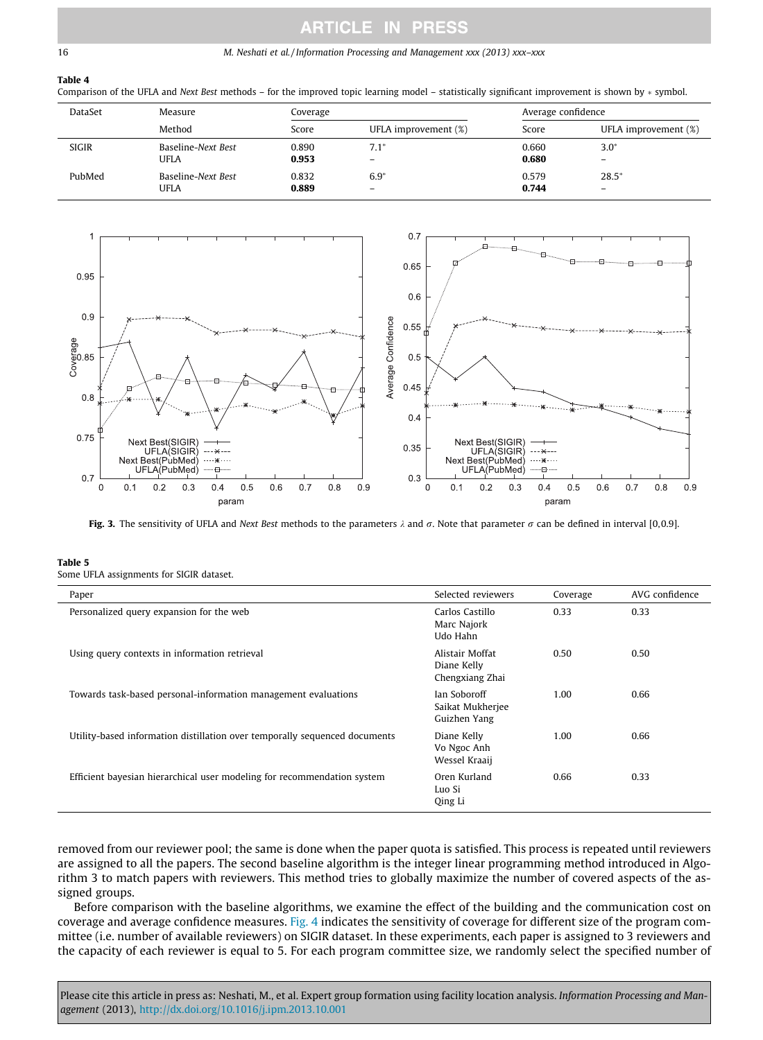### <span id="page-15-0"></span>16 M. Neshati et al. / Information Processing and Management xxx (2013) xxx–xxx

### Table 4

Comparison of the UFLA and Next Best methods – for the improved topic learning model – statistically significant improvement is shown by  $*$  symbol.

| DataSet      | Measure            | Coverage |                      |       | Average confidence       |
|--------------|--------------------|----------|----------------------|-------|--------------------------|
|              | Method             | Score    | UFLA improvement (%) | Score | UFLA improvement (%)     |
| <b>SIGIR</b> | Baseline-Next Best | 0.890    | $7.1*$               | 0.660 | $3.0*$                   |
|              | <b>UFLA</b>        | 0.953    | -                    | 0.680 | $\overline{\phantom{0}}$ |
| PubMed       | Baseline-Next Best | 0.832    | $6.9*$               | 0.579 | $28.5*$                  |
|              | <b>UFLA</b>        | 0.889    | -                    | 0.744 | $\overline{\phantom{0}}$ |



Fig. 3. The sensitivity of UFLA and Next Best methods to the parameters  $\lambda$  and  $\sigma$ . Note that parameter  $\sigma$  can be defined in interval [0,0.9].

### Table 5

Some UFLA assignments for SIGIR dataset.

| Paper                                                                      | Selected reviewers                                      | Coverage | AVG confidence |
|----------------------------------------------------------------------------|---------------------------------------------------------|----------|----------------|
| Personalized query expansion for the web                                   | Carlos Castillo<br>Marc Najork<br>Udo Hahn              | 0.33     | 0.33           |
| Using query contexts in information retrieval                              | Alistair Moffat<br>Diane Kelly<br>Chengxiang Zhai       | 0.50     | 0.50           |
| Towards task-based personal-information management evaluations             | <b>Ian Soboroff</b><br>Saikat Mukherjee<br>Guizhen Yang | 1.00     | 0.66           |
| Utility-based information distillation over temporally sequenced documents | Diane Kelly<br>Vo Ngoc Anh<br>Wessel Kraaij             | 1.00     | 0.66           |
| Efficient bayesian hierarchical user modeling for recommendation system    | Oren Kurland<br>Luo Si<br>Qing Li                       | 0.66     | 0.33           |

removed from our reviewer pool; the same is done when the paper quota is satisfied. This process is repeated until reviewers are assigned to all the papers. The second baseline algorithm is the integer linear programming method introduced in Algorithm 3 to match papers with reviewers. This method tries to globally maximize the number of covered aspects of the assigned groups.

Before comparison with the baseline algorithms, we examine the effect of the building and the communication cost on coverage and average confidence measures. [Fig. 4](#page-16-0) indicates the sensitivity of coverage for different size of the program committee (i.e. number of available reviewers) on SIGIR dataset. In these experiments, each paper is assigned to 3 reviewers and the capacity of each reviewer is equal to 5. For each program committee size, we randomly select the specified number of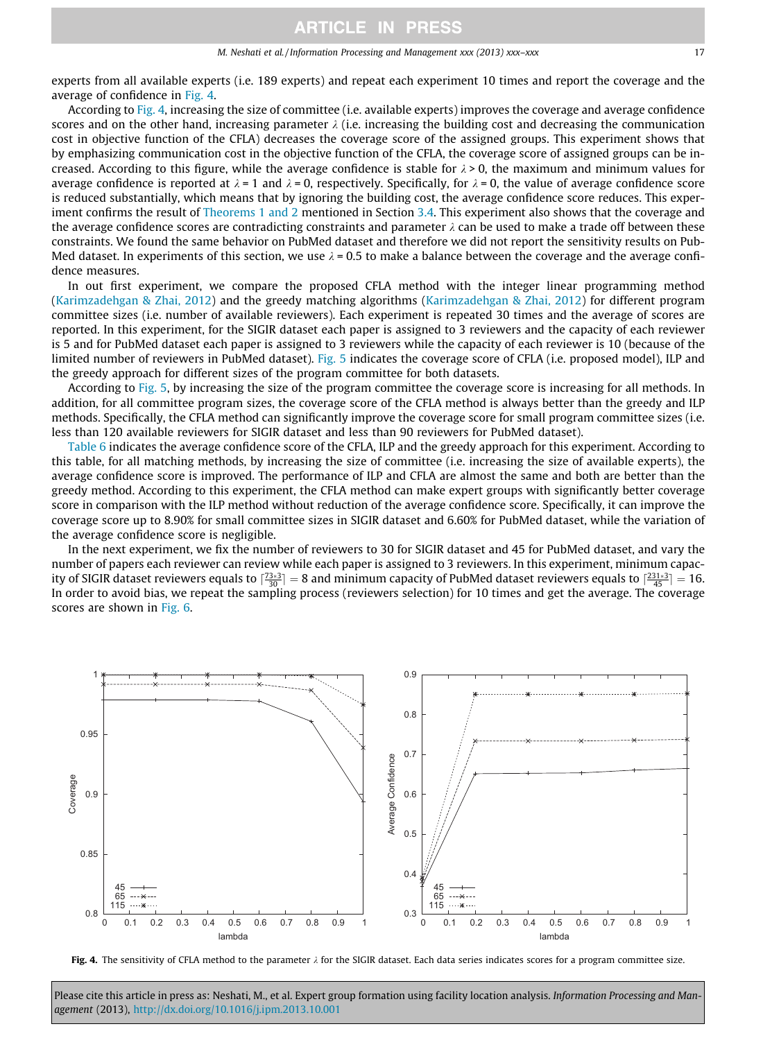<span id="page-16-0"></span>experts from all available experts (i.e. 189 experts) and repeat each experiment 10 times and report the coverage and the average of confidence in Fig. 4.

According to Fig. 4, increasing the size of committee (i.e. available experts) improves the coverage and average confidence scores and on the other hand, increasing parameter  $\lambda$  (i.e. increasing the building cost and decreasing the communication cost in objective function of the CFLA) decreases the coverage score of the assigned groups. This experiment shows that by emphasizing communication cost in the objective function of the CFLA, the coverage score of assigned groups can be increased. According to this figure, while the average confidence is stable for  $\lambda > 0$ , the maximum and minimum values for average confidence is reported at  $\lambda = 1$  and  $\lambda = 0$ , respectively. Specifically, for  $\lambda = 0$ , the value of average confidence score is reduced substantially, which means that by ignoring the building cost, the average confidence score reduces. This exper-iment confirms the result of [Theorems 1 and 2](#page-8-0) mentioned in Section [3.4.](#page-7-0) This experiment also shows that the coverage and the average confidence scores are contradicting constraints and parameter  $\lambda$  can be used to make a trade off between these constraints. We found the same behavior on PubMed dataset and therefore we did not report the sensitivity results on Pub-Med dataset. In experiments of this section, we use  $\lambda = 0.5$  to make a balance between the coverage and the average confidence measures.

In out first experiment, we compare the proposed CFLA method with the integer linear programming method ([Karimzadehgan & Zhai, 2012\)](#page-21-0) and the greedy matching algorithms [\(Karimzadehgan & Zhai, 2012](#page-21-0)) for different program committee sizes (i.e. number of available reviewers). Each experiment is repeated 30 times and the average of scores are reported. In this experiment, for the SIGIR dataset each paper is assigned to 3 reviewers and the capacity of each reviewer is 5 and for PubMed dataset each paper is assigned to 3 reviewers while the capacity of each reviewer is 10 (because of the limited number of reviewers in PubMed dataset). [Fig. 5](#page-17-0) indicates the coverage score of CFLA (i.e. proposed model), ILP and the greedy approach for different sizes of the program committee for both datasets.

According to [Fig. 5](#page-17-0), by increasing the size of the program committee the coverage score is increasing for all methods. In addition, for all committee program sizes, the coverage score of the CFLA method is always better than the greedy and ILP methods. Specifically, the CFLA method can significantly improve the coverage score for small program committee sizes (i.e. less than 120 available reviewers for SIGIR dataset and less than 90 reviewers for PubMed dataset).

[Table 6](#page-17-0) indicates the average confidence score of the CFLA, ILP and the greedy approach for this experiment. According to this table, for all matching methods, by increasing the size of committee (i.e. increasing the size of available experts), the average confidence score is improved. The performance of ILP and CFLA are almost the same and both are better than the greedy method. According to this experiment, the CFLA method can make expert groups with significantly better coverage score in comparison with the ILP method without reduction of the average confidence score. Specifically, it can improve the coverage score up to 8.90% for small committee sizes in SIGIR dataset and 6.60% for PubMed dataset, while the variation of the average confidence score is negligible.

In the next experiment, we fix the number of reviewers to 30 for SIGIR dataset and 45 for PubMed dataset, and vary the number of papers each reviewer can review while each paper is assigned to 3 reviewers. In this experiment, minimum capacity of SIGIR dataset reviewers equals to  $\lceil\frac{73*3}{30}\rceil=8$  and minimum capacity of PubMed dataset reviewers equals to  $\lceil\frac{231*3}{45}\rceil=16$ . In order to avoid bias, we repeat the sampling process (reviewers selection) for 10 times and get the average. The coverage scores are shown in [Fig. 6.](#page-17-0)



Fig. 4. The sensitivity of CFLA method to the parameter  $\lambda$  for the SIGIR dataset. Each data series indicates scores for a program committee size.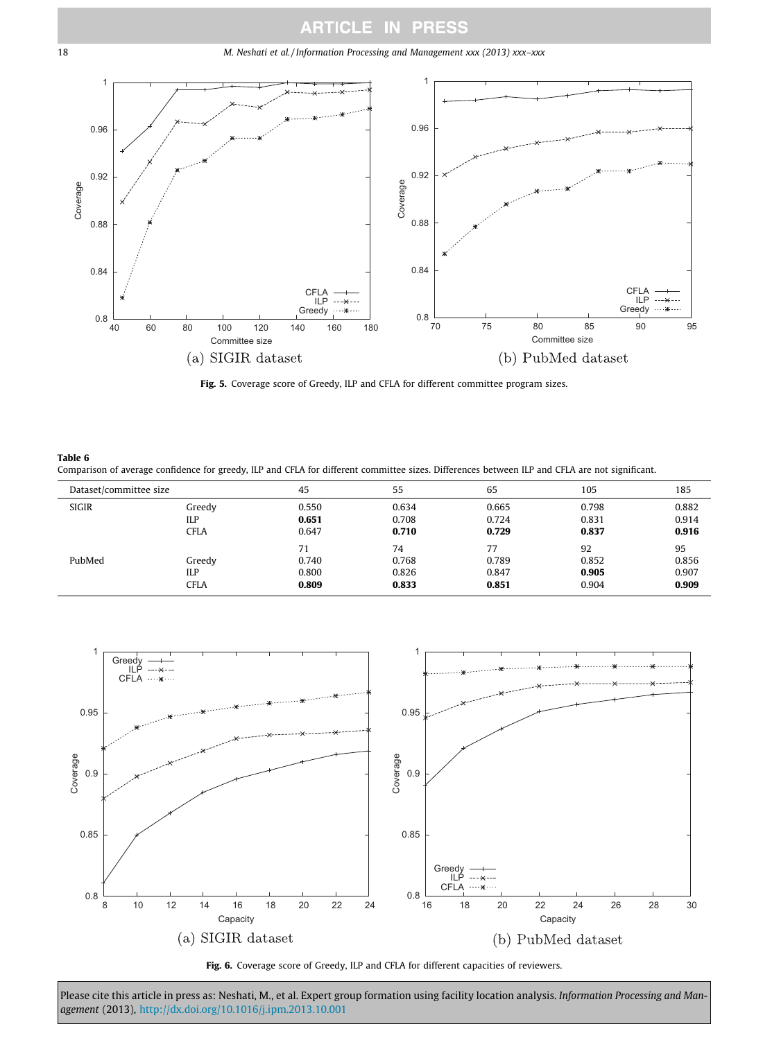<span id="page-17-0"></span>18 M. Neshati et al. / Information Processing and Management xxx (2013) xxx–xxx



Fig. 5. Coverage score of Greedy, ILP and CFLA for different committee program sizes.

### Table 6 Comparison of average confidence for greedy, ILP and CFLA for different committee sizes. Differences between ILP and CFLA are not significant.

| Dataset/committee size |                                     | 45                            | 55                            | 65                            | 105                           | 185                           |
|------------------------|-------------------------------------|-------------------------------|-------------------------------|-------------------------------|-------------------------------|-------------------------------|
| <b>SIGIR</b>           | Greedy<br><b>ILP</b><br><b>CFLA</b> | 0.550<br>0.651<br>0.647       | 0.634<br>0.708<br>0.710       | 0.665<br>0.724<br>0.729       | 0.798<br>0.831<br>0.837       | 0.882<br>0.914<br>0.916       |
| PubMed                 | Greedy<br>ILP<br>CFLA               | 71<br>0.740<br>0.800<br>0.809 | 74<br>0.768<br>0.826<br>0.833 | 77<br>0.789<br>0.847<br>0.851 | 92<br>0.852<br>0.905<br>0.904 | 95<br>0.856<br>0.907<br>0.909 |



Fig. 6. Coverage score of Greedy, ILP and CFLA for different capacities of reviewers.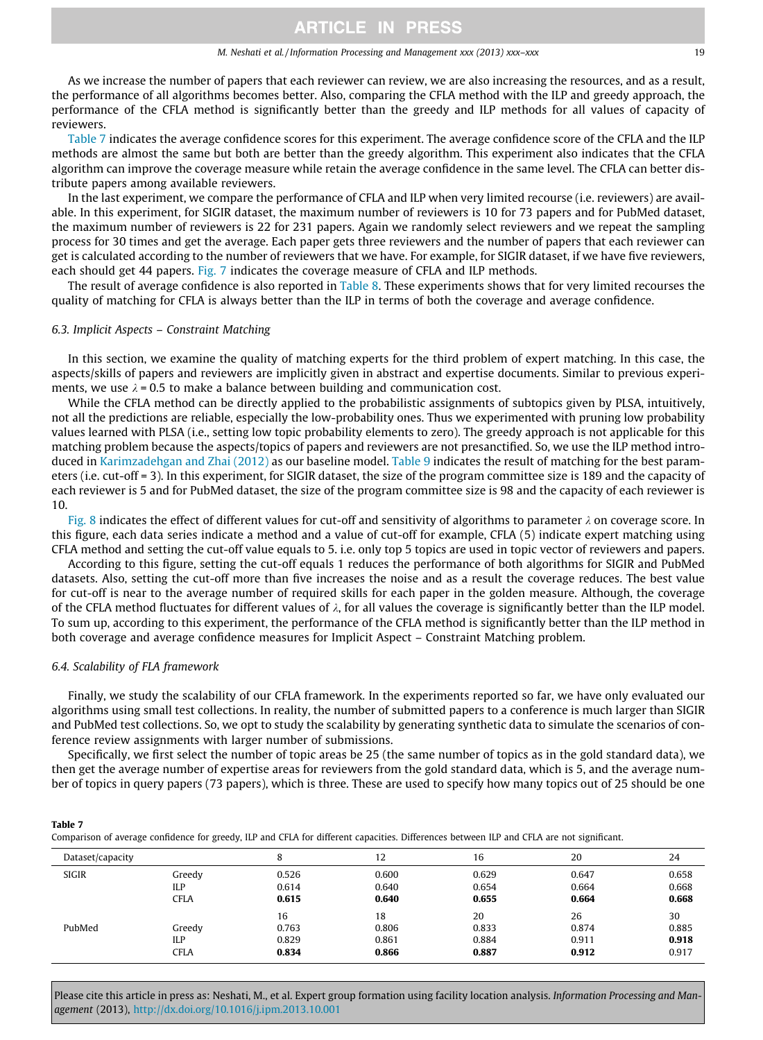<span id="page-18-0"></span>As we increase the number of papers that each reviewer can review, we are also increasing the resources, and as a result, the performance of all algorithms becomes better. Also, comparing the CFLA method with the ILP and greedy approach, the performance of the CFLA method is significantly better than the greedy and ILP methods for all values of capacity of reviewers.

Table 7 indicates the average confidence scores for this experiment. The average confidence score of the CFLA and the ILP methods are almost the same but both are better than the greedy algorithm. This experiment also indicates that the CFLA algorithm can improve the coverage measure while retain the average confidence in the same level. The CFLA can better distribute papers among available reviewers.

In the last experiment, we compare the performance of CFLA and ILP when very limited recourse (i.e. reviewers) are available. In this experiment, for SIGIR dataset, the maximum number of reviewers is 10 for 73 papers and for PubMed dataset, the maximum number of reviewers is 22 for 231 papers. Again we randomly select reviewers and we repeat the sampling process for 30 times and get the average. Each paper gets three reviewers and the number of papers that each reviewer can get is calculated according to the number of reviewers that we have. For example, for SIGIR dataset, if we have five reviewers, each should get 44 papers. [Fig. 7](#page-19-0) indicates the coverage measure of CFLA and ILP methods.

The result of average confidence is also reported in [Table 8](#page-19-0). These experiments shows that for very limited recourses the quality of matching for CFLA is always better than the ILP in terms of both the coverage and average confidence.

### 6.3. Implicit Aspects – Constraint Matching

In this section, we examine the quality of matching experts for the third problem of expert matching. In this case, the aspects/skills of papers and reviewers are implicitly given in abstract and expertise documents. Similar to previous experiments, we use  $\lambda$  = 0.5 to make a balance between building and communication cost.

While the CFLA method can be directly applied to the probabilistic assignments of subtopics given by PLSA, intuitively, not all the predictions are reliable, especially the low-probability ones. Thus we experimented with pruning low probability values learned with PLSA (i.e., setting low topic probability elements to zero). The greedy approach is not applicable for this matching problem because the aspects/topics of papers and reviewers are not presanctified. So, we use the ILP method introduced in [Karimzadehgan and Zhai \(2012\)](#page-21-0) as our baseline model. [Table 9](#page-19-0) indicates the result of matching for the best parameters (i.e. cut-off = 3). In this experiment, for SIGIR dataset, the size of the program committee size is 189 and the capacity of each reviewer is 5 and for PubMed dataset, the size of the program committee size is 98 and the capacity of each reviewer is 10.

[Fig. 8](#page-20-0) indicates the effect of different values for cut-off and sensitivity of algorithms to parameter  $\lambda$  on coverage score. In this figure, each data series indicate a method and a value of cut-off for example, CFLA (5) indicate expert matching using CFLA method and setting the cut-off value equals to 5. i.e. only top 5 topics are used in topic vector of reviewers and papers.

According to this figure, setting the cut-off equals 1 reduces the performance of both algorithms for SIGIR and PubMed datasets. Also, setting the cut-off more than five increases the noise and as a result the coverage reduces. The best value for cut-off is near to the average number of required skills for each paper in the golden measure. Although, the coverage of the CFLA method fluctuates for different values of  $\lambda$ , for all values the coverage is significantly better than the ILP model. To sum up, according to this experiment, the performance of the CFLA method is significantly better than the ILP method in both coverage and average confidence measures for Implicit Aspect – Constraint Matching problem.

### 6.4. Scalability of FLA framework

Finally, we study the scalability of our CFLA framework. In the experiments reported so far, we have only evaluated our algorithms using small test collections. In reality, the number of submitted papers to a conference is much larger than SIGIR and PubMed test collections. So, we opt to study the scalability by generating synthetic data to simulate the scenarios of conference review assignments with larger number of submissions.

Specifically, we first select the number of topic areas be 25 (the same number of topics as in the gold standard data), we then get the average number of expertise areas for reviewers from the gold standard data, which is 5, and the average number of topics in query papers (73 papers), which is three. These are used to specify how many topics out of 25 should be one

| ., |  |
|----|--|
|----|--|

Comparison of average confidence for greedy, ILP and CFLA for different capacities. Differences between ILP and CFLA are not significant.

| Dataset/capacity |                              | 8                             | 12                            | 16                            | 20                            | 24                            |
|------------------|------------------------------|-------------------------------|-------------------------------|-------------------------------|-------------------------------|-------------------------------|
| <b>SIGIR</b>     | Greedy<br>ILP<br><b>CFLA</b> | 0.526<br>0.614<br>0.615       | 0.600<br>0.640<br>0.640       | 0.629<br>0.654<br>0.655       | 0.647<br>0.664<br>0.664       | 0.658<br>0.668<br>0.668       |
| PubMed           | Greedy<br>ILP<br><b>CFLA</b> | 16<br>0.763<br>0.829<br>0.834 | 18<br>0.806<br>0.861<br>0.866 | 20<br>0.833<br>0.884<br>0.887 | 26<br>0.874<br>0.911<br>0.912 | 30<br>0.885<br>0.918<br>0.917 |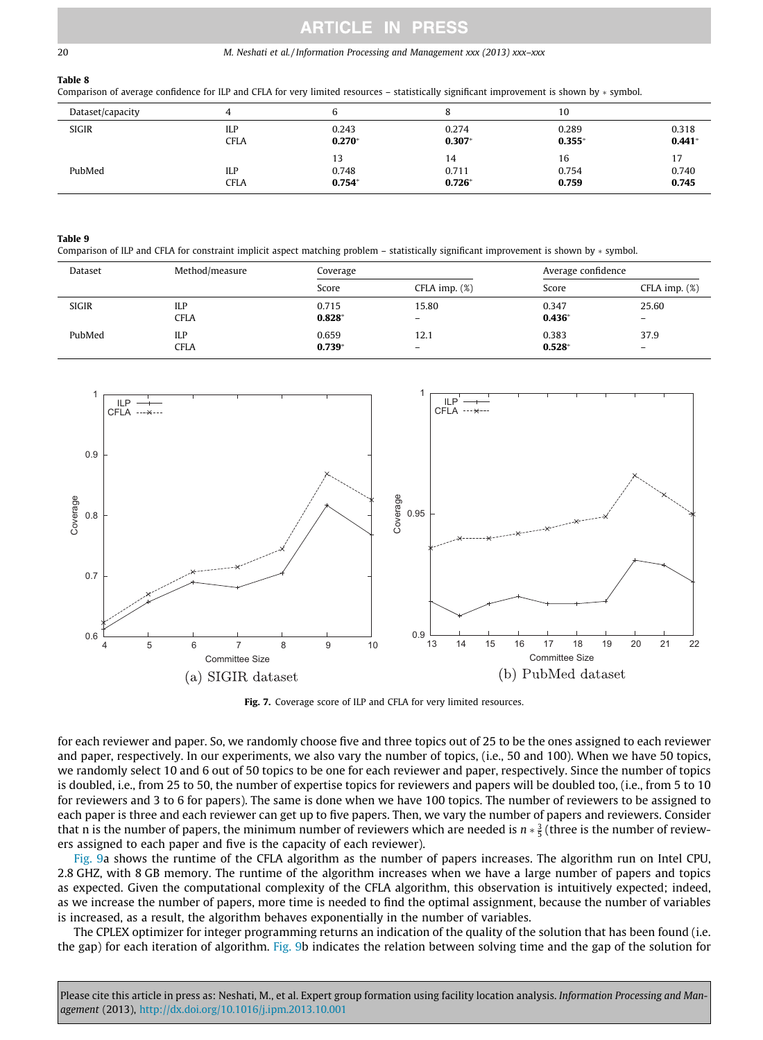### <span id="page-19-0"></span>20 M. Neshati et al. / Information Processing and Management xxx (2013) xxx–xxx

### Table 8

Comparison of average confidence for ILP and CFLA for very limited resources - statistically significant improvement is shown by \* symbol.

| Dataset/capacity |                    | b                       | $\Omega$                | 10                   |                   |
|------------------|--------------------|-------------------------|-------------------------|----------------------|-------------------|
| <b>SIGIR</b>     | ILP<br><b>CFLA</b> | 0.243<br>$0.270*$       | 0.274<br>$0.307*$       | 0.289<br>$0.355*$    | 0.318<br>$0.441*$ |
| PubMed           | ILP<br><b>CFLA</b> | 13<br>0.748<br>$0.754*$ | 14<br>0.711<br>$0.726*$ | 16<br>0.754<br>0.759 | 0.740<br>0.745    |

### Table 9

Comparison of ILP and CFLA for constraint implicit aspect matching problem - statistically significant improvement is shown by  $*$  symbol.

| Dataset      | Method/measure | Coverage |                    | Average confidence |                              |
|--------------|----------------|----------|--------------------|--------------------|------------------------------|
|              |                | Score    | $CFLA$ imp. $(\%)$ | Score              | CFLA imp. $(\%)$             |
| <b>SIGIR</b> | ILP            | 0.715    | 15.80              | 0.347              | 25.60                        |
|              | <b>CFLA</b>    | $0.828*$ | $\qquad \qquad$    | $0.436*$           | $\qquad \qquad \blacksquare$ |
| PubMed       | ILP            | 0.659    | 12.1               | 0.383              | 37.9                         |
|              | <b>CFLA</b>    | $0.739*$ | $\qquad \qquad$    | $0.528*$           | $\qquad \qquad \blacksquare$ |



Fig. 7. Coverage score of ILP and CFLA for very limited resources.

for each reviewer and paper. So, we randomly choose five and three topics out of 25 to be the ones assigned to each reviewer and paper, respectively. In our experiments, we also vary the number of topics, (i.e., 50 and 100). When we have 50 topics, we randomly select 10 and 6 out of 50 topics to be one for each reviewer and paper, respectively. Since the number of topics is doubled, i.e., from 25 to 50, the number of expertise topics for reviewers and papers will be doubled too, (i.e., from 5 to 10 for reviewers and 3 to 6 for papers). The same is done when we have 100 topics. The number of reviewers to be assigned to each paper is three and each reviewer can get up to five papers. Then, we vary the number of papers and reviewers. Consider that n is the number of papers, the minimum number of reviewers which are needed is  $n*\frac{3}{5}$  (three is the number of reviewers assigned to each paper and five is the capacity of each reviewer).

[Fig. 9a](#page-20-0) shows the runtime of the CFLA algorithm as the number of papers increases. The algorithm run on Intel CPU, 2.8 GHZ, with 8 GB memory. The runtime of the algorithm increases when we have a large number of papers and topics as expected. Given the computational complexity of the CFLA algorithm, this observation is intuitively expected; indeed, as we increase the number of papers, more time is needed to find the optimal assignment, because the number of variables is increased, as a result, the algorithm behaves exponentially in the number of variables.

The CPLEX optimizer for integer programming returns an indication of the quality of the solution that has been found (i.e. the gap) for each iteration of algorithm. [Fig. 9](#page-20-0)b indicates the relation between solving time and the gap of the solution for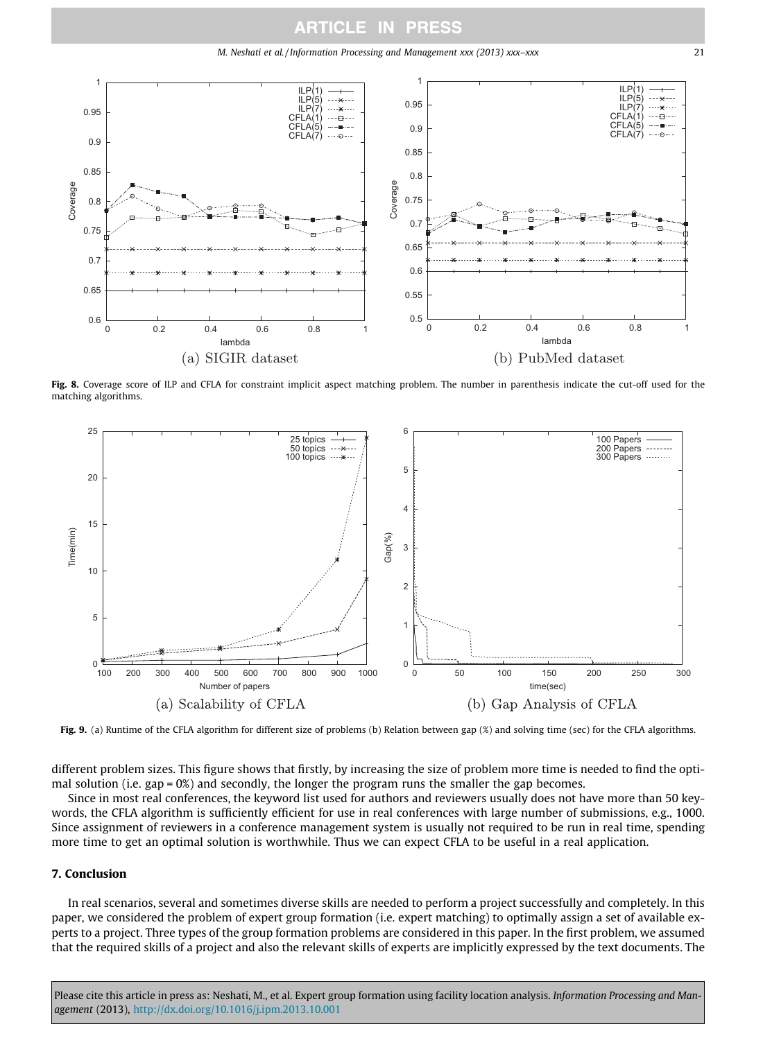M. Neshati et al. / Information Processing and Management xxx (2013) xxx–xxx 21

<span id="page-20-0"></span>

Fig. 8. Coverage score of ILP and CFLA for constraint implicit aspect matching problem. The number in parenthesis indicate the cut-off used for the matching algorithms.



Fig. 9. (a) Runtime of the CFLA algorithm for different size of problems (b) Relation between gap (%) and solving time (sec) for the CFLA algorithms.

different problem sizes. This figure shows that firstly, by increasing the size of problem more time is needed to find the optimal solution (i.e.  $gap = 0\%$ ) and secondly, the longer the program runs the smaller the gap becomes.

Since in most real conferences, the keyword list used for authors and reviewers usually does not have more than 50 keywords, the CFLA algorithm is sufficiently efficient for use in real conferences with large number of submissions, e.g., 1000. Since assignment of reviewers in a conference management system is usually not required to be run in real time, spending more time to get an optimal solution is worthwhile. Thus we can expect CFLA to be useful in a real application.

### 7. Conclusion

In real scenarios, several and sometimes diverse skills are needed to perform a project successfully and completely. In this paper, we considered the problem of expert group formation (i.e. expert matching) to optimally assign a set of available experts to a project. Three types of the group formation problems are considered in this paper. In the first problem, we assumed that the required skills of a project and also the relevant skills of experts are implicitly expressed by the text documents. The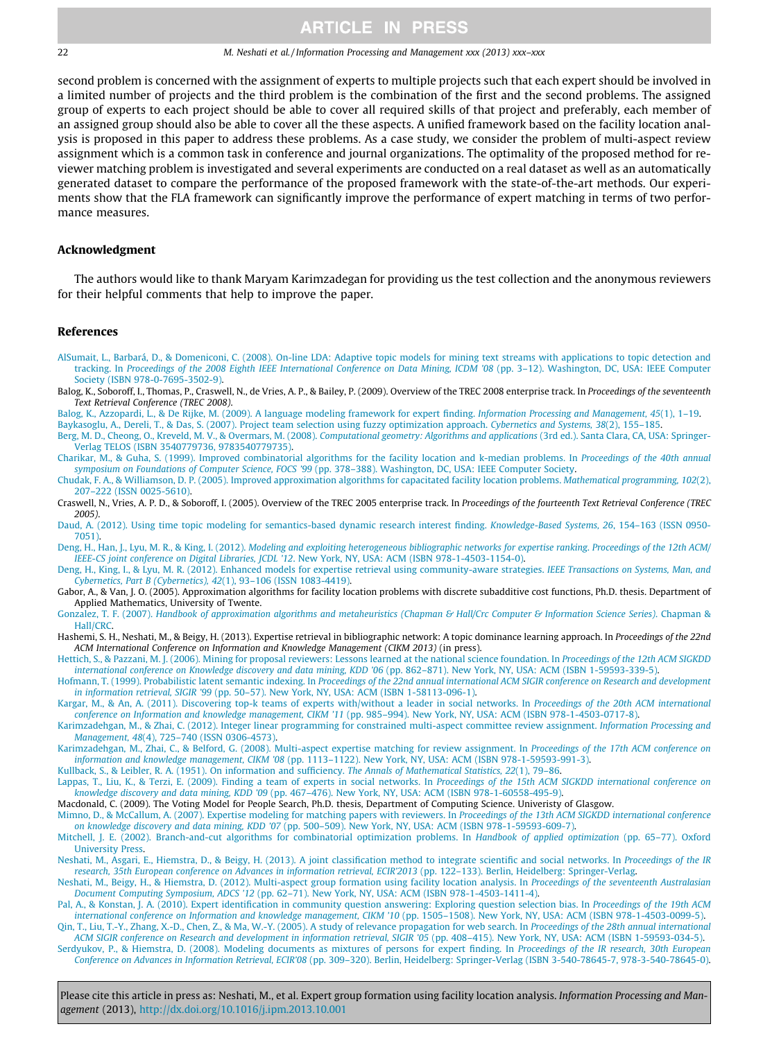#### <span id="page-21-0"></span>22 M. Neshati et al. / Information Processing and Management xxx (2013) xxx–xxx

second problem is concerned with the assignment of experts to multiple projects such that each expert should be involved in a limited number of projects and the third problem is the combination of the first and the second problems. The assigned group of experts to each project should be able to cover all required skills of that project and preferably, each member of an assigned group should also be able to cover all the these aspects. A unified framework based on the facility location analysis is proposed in this paper to address these problems. As a case study, we consider the problem of multi-aspect review assignment which is a common task in conference and journal organizations. The optimality of the proposed method for reviewer matching problem is investigated and several experiments are conducted on a real dataset as well as an automatically generated dataset to compare the performance of the proposed framework with the state-of-the-art methods. Our experiments show that the FLA framework can significantly improve the performance of expert matching in terms of two performance measures.

### Acknowledgment

The authors would like to thank Maryam Karimzadegan for providing us the test collection and the anonymous reviewers for their helpful comments that help to improve the paper.

### References

- [AlSumait, L., Barbará, D., & Domeniconi, C. \(2008\). On-line LDA: Adaptive topic models for mining text streams with applications to topic detection and](http://refhub.elsevier.com/S0306-4573(13)00101-5/h0005) tracking. In [Proceedings of the 2008 Eighth IEEE International Conference on Data Mining, ICDM '08](http://refhub.elsevier.com/S0306-4573(13)00101-5/h0005) (pp. 3–12). Washington, DC, USA: IEEE Computer [Society \(ISBN 978-0-7695-3502-9\)](http://refhub.elsevier.com/S0306-4573(13)00101-5/h0005).
- Balog, K., Soboroff, I., Thomas, P., Craswell, N., de Vries, A. P., & Bailey, P. (2009). Overview of the TREC 2008 enterprise track. In Proceedings of the seventeenth Text Retrieval Conference (TREC 2008).
- [Balog, K., Azzopardi, L., & De Rijke, M. \(2009\). A language modeling framework for expert finding.](http://refhub.elsevier.com/S0306-4573(13)00101-5/h0010) Information Processing and Management, 45(1), 1–19.

[Baykasoglu, A., Dereli, T., & Das, S. \(2007\). Project team selection using fuzzy optimization approach.](http://refhub.elsevier.com/S0306-4573(13)00101-5/h0015) Cybernetics and Systems, 38(2), 155–185.

[Berg, M. D., Cheong, O., Kreveld, M. V., & Overmars, M. \(2008\).](http://refhub.elsevier.com/S0306-4573(13)00101-5/h0020) Computational geometry: Algorithms and applications (3rd ed.). Santa Clara, CA, USA: Springer-[Verlag TELOS \(ISBN 3540779736, 9783540779735\).](http://refhub.elsevier.com/S0306-4573(13)00101-5/h0020)

[Charikar, M., & Guha, S. \(1999\). Improved combinatorial algorithms for the facility location and k-median problems. In](http://refhub.elsevier.com/S0306-4573(13)00101-5/h0025) Proceedings of the 40th annual symposium on Foundations of Computer Science, FOCS '99 [\(pp. 378–388\). Washington, DC, USA: IEEE Computer Society](http://refhub.elsevier.com/S0306-4573(13)00101-5/h0025).

[Chudak, F. A., & Williamson, D. P. \(2005\). Improved approximation algorithms for capacitated facility location problems.](http://refhub.elsevier.com/S0306-4573(13)00101-5/h0030) Mathematical programming, 102(2), [207–222 \(ISSN 0025-5610\).](http://refhub.elsevier.com/S0306-4573(13)00101-5/h0030)

Craswell, N., Vries, A. P. D., & Soboroff, I. (2005). Overview of the TREC 2005 enterprise track. In Proceedings of the fourteenth Text Retrieval Conference (TREC 2005).

[Daud, A. \(2012\). Using time topic modeling for semantics-based dynamic research interest finding.](http://refhub.elsevier.com/S0306-4573(13)00101-5/h0035) Knowledge-Based Systems, 26, 154–163 (ISSN 0950- [7051\).](http://refhub.elsevier.com/S0306-4573(13)00101-5/h0035)

- Deng, H., Han, J., Lyu, M. R., & King, I. (2012). [Modeling and exploiting heterogeneous bibliographic networks for expertise ranking](http://refhub.elsevier.com/S0306-4573(13)00101-5/h0040). Proceedings of the 12th ACM/ IEEE-CS joint conference on Digital Libraries, JCDL '12[. New York, NY, USA: ACM \(ISBN 978-1-4503-1154-0\).](http://refhub.elsevier.com/S0306-4573(13)00101-5/h0040)
- [Deng, H., King, I., & Lyu, M. R. \(2012\). Enhanced models for expertise retrieval using community-aware strategies.](http://refhub.elsevier.com/S0306-4573(13)00101-5/h0045) IEEE Transactions on Systems, Man, and [Cybernetics, Part B \(Cybernetics\), 42](http://refhub.elsevier.com/S0306-4573(13)00101-5/h0045)(1), 93–106 (ISSN 1083-4419).
- Gabor, A., & Van, J. O. (2005). Approximation algorithms for facility location problems with discrete subadditive cost functions, Ph.D. thesis. Department of Applied Mathematics, University of Twente.

Gonzalez, T. F. (2007). [Handbook of approximation algorithms and metaheuristics \(Chapman & Hall/Crc Computer & Information Science Series\)](http://refhub.elsevier.com/S0306-4573(13)00101-5/h0050). Chapman & [Hall/CRC.](http://refhub.elsevier.com/S0306-4573(13)00101-5/h0050)

Hashemi, S. H., Neshati, M., & Beigy, H. (2013). Expertise retrieval in bibliographic network: A topic dominance learning approach. In Proceedings of the 22nd ACM International Conference on Information and Knowledge Management (CIKM 2013) (in press).

[Hettich, S., & Pazzani, M. J. \(2006\). Mining for proposal reviewers: Lessons learned at the national science foundation. In](http://refhub.elsevier.com/S0306-4573(13)00101-5/h0055) Proceedings of the 12th ACM SIGKDD [international conference on Knowledge discovery and data mining, KDD '06](http://refhub.elsevier.com/S0306-4573(13)00101-5/h0055) (pp. 862–871). New York, NY, USA: ACM (ISBN 1-59593-339-5).

Hofmann, T. (1999). Probabilistic latent semantic indexing. In [Proceedings of the 22nd annual international ACM SIGIR conference on Research and development](http://refhub.elsevier.com/S0306-4573(13)00101-5/h0060) in information retrieval, SIGIR '99 [\(pp. 50–57\). New York, NY, USA: ACM \(ISBN 1-58113-096-1\).](http://refhub.elsevier.com/S0306-4573(13)00101-5/h0060)

- [Kargar, M., & An, A. \(2011\). Discovering top-k teams of experts with/without a leader in social networks. In](http://refhub.elsevier.com/S0306-4573(13)00101-5/h0065) Proceedings of the 20th ACM international conference on Information and knowledge management, CIKM '11 [\(pp. 985–994\). New York, NY, USA: ACM \(ISBN 978-1-4503-0717-8\)](http://refhub.elsevier.com/S0306-4573(13)00101-5/h0065).
- [Karimzadehgan, M., & Zhai, C. \(2012\). Integer linear programming for constrained multi-aspect committee review assignment.](http://refhub.elsevier.com/S0306-4573(13)00101-5/h0070) Information Processing and Management, 48[\(4\), 725–740 \(ISSN 0306-4573\).](http://refhub.elsevier.com/S0306-4573(13)00101-5/h0070)

[Karimzadehgan, M., Zhai, C., & Belford, G. \(2008\). Multi-aspect expertise matching for review assignment. In](http://refhub.elsevier.com/S0306-4573(13)00101-5/h0075) Proceedings of the 17th ACM conference on information and knowledge management, CIKM '08 [\(pp. 1113–1122\). New York, NY, USA: ACM \(ISBN 978-1-59593-991-3\)](http://refhub.elsevier.com/S0306-4573(13)00101-5/h0075).

[Kullback, S., & Leibler, R. A. \(1951\). On information and sufficiency.](http://refhub.elsevier.com/S0306-4573(13)00101-5/h0080) The Annals of Mathematical Statistics, 22(1), 79–86.

[Lappas, T., Liu, K., & Terzi, E. \(2009\). Finding a team of experts in social networks. In](http://refhub.elsevier.com/S0306-4573(13)00101-5/h0085) Proceedings of the 15th ACM SIGKDD international conference on knowledge discovery and data mining, KDD '09 [\(pp. 467–476\). New York, NY, USA: ACM \(ISBN 978-1-60558-495-9\).](http://refhub.elsevier.com/S0306-4573(13)00101-5/h0085)

Macdonald, C. (2009). The Voting Model for People Search, Ph.D. thesis, Department of Computing Science. Univeristy of Glasgow.

[Mimno, D., & McCallum, A. \(2007\). Expertise modeling for matching papers with reviewers. In](http://refhub.elsevier.com/S0306-4573(13)00101-5/h0090) Proceedings of the 13th ACM SIGKDD international conference on knowledge discovery and data mining, KDD '07 [\(pp. 500–509\). New York, NY, USA: ACM \(ISBN 978-1-59593-609-7\).](http://refhub.elsevier.com/S0306-4573(13)00101-5/h0090)

[Mitchell, J. E. \(2002\). Branch-and-cut algorithms for combinatorial optimization problems. In](http://refhub.elsevier.com/S0306-4573(13)00101-5/h0095) Handbook of applied optimization (pp. 65–77). Oxford [University Press](http://refhub.elsevier.com/S0306-4573(13)00101-5/h0095).

[Neshati, M., Asgari, E., Hiemstra, D., & Beigy, H. \(2013\). A joint classification method to integrate scientific and social networks. In](http://refhub.elsevier.com/S0306-4573(13)00101-5/h0100) Proceedings of the IR [research, 35th European conference on Advances in information retrieval, ECIR'2013](http://refhub.elsevier.com/S0306-4573(13)00101-5/h0100) (pp. 122–133). Berlin, Heidelberg: Springer-Verlag.

[Neshati, M., Beigy, H., & Hiemstra, D. \(2012\). Multi-aspect group formation using facility location analysis. In](http://refhub.elsevier.com/S0306-4573(13)00101-5/h0105) Proceedings of the seventeenth Australasian Document Computing Symposium, ADCS '12 [\(pp. 62–71\). New York, NY, USA: ACM \(ISBN 978-1-4503-1411-4\).](http://refhub.elsevier.com/S0306-4573(13)00101-5/h0105)

[Pal, A., & Konstan, J. A. \(2010\). Expert identification in community question answering: Exploring question selection bias. In](http://refhub.elsevier.com/S0306-4573(13)00101-5/h0110) Proceedings of the 19th ACM [international conference on Information and knowledge management, CIKM '10](http://refhub.elsevier.com/S0306-4573(13)00101-5/h0110) (pp. 1505–1508). New York, NY, USA: ACM (ISBN 978-1-4503-0099-5). [Qin, T., Liu, T.-Y., Zhang, X.-D., Chen, Z., & Ma, W.-Y. \(2005\). A study of relevance propagation for web search. In](http://refhub.elsevier.com/S0306-4573(13)00101-5/h0115) Proceedings of the 28th annual international

[ACM SIGIR conference on Research and development in information retrieval, SIGIR '05](http://refhub.elsevier.com/S0306-4573(13)00101-5/h0115) (pp. 408–415). New York, NY, USA: ACM (ISBN 1-59593-034-5). [Serdyukov, P., & Hiemstra, D. \(2008\). Modeling documents as mixtures of persons for expert finding. In](http://refhub.elsevier.com/S0306-4573(13)00101-5/h0120) Proceedings of the IR research, 30th European

Conference on Advances in Information Retrieval, ECIR'08 [\(pp. 309–320\). Berlin, Heidelberg: Springer-Verlag \(ISBN 3-540-78645-7, 978-3-540-78645-0\).](http://refhub.elsevier.com/S0306-4573(13)00101-5/h0120)